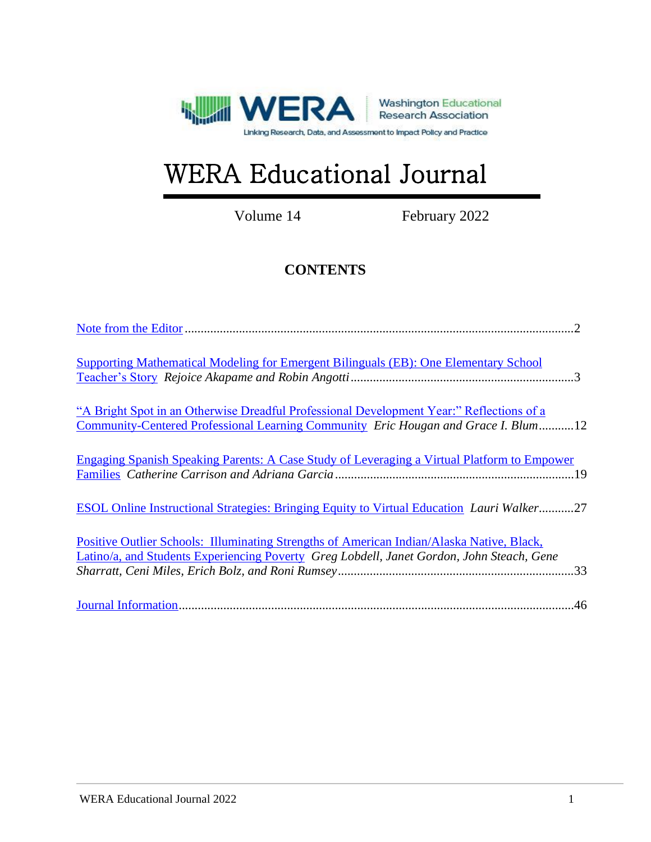

# WERA Educational Journal

Volume 14 February 2022

# **CONTENTS**

| <b>Supporting Mathematical Modeling for Emergent Bilinguals (EB): One Elementary School</b>                                                                                            |
|----------------------------------------------------------------------------------------------------------------------------------------------------------------------------------------|
| "A Bright Spot in an Otherwise Dreadful Professional Development Year:" Reflections of a<br>Community-Centered Professional Learning Community Eric Hougan and Grace I. Blum12         |
| <b>Engaging Spanish Speaking Parents: A Case Study of Leveraging a Virtual Platform to Empower</b>                                                                                     |
| <b>ESOL Online Instructional Strategies: Bringing Equity to Virtual Education Lauri Walker27</b>                                                                                       |
| Positive Outlier Schools: Illuminating Strengths of American Indian/Alaska Native, Black,<br>Latino/a, and Students Experiencing Poverty Greg Lobdell, Janet Gordon, John Steach, Gene |
|                                                                                                                                                                                        |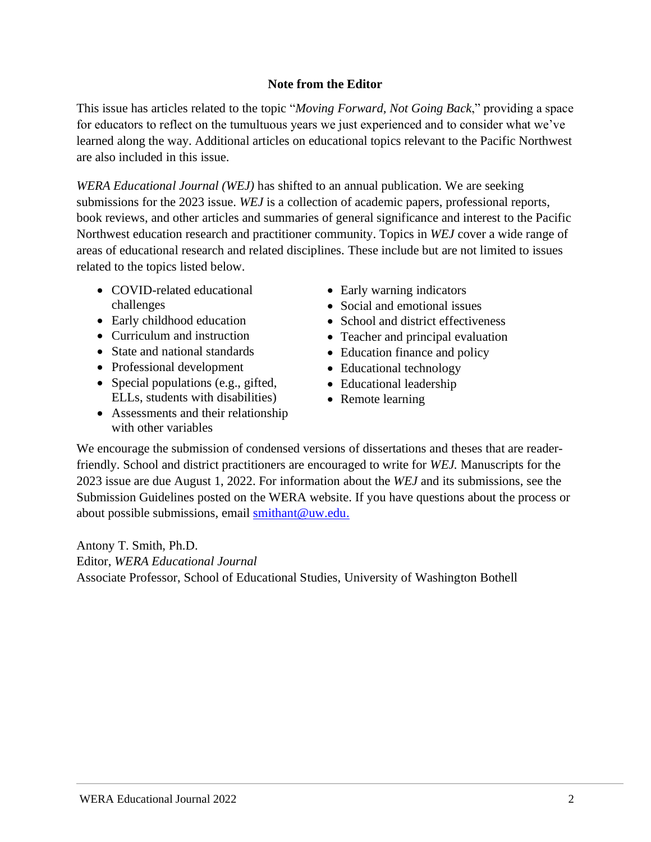# **Note from the Editor**

<span id="page-1-0"></span>This issue has articles related to the topic "*Moving Forward, Not Going Back*," providing a space for educators to reflect on the tumultuous years we just experienced and to consider what we've learned along the way. Additional articles on educational topics relevant to the Pacific Northwest are also included in this issue.

*WERA Educational Journal (WEJ)* has shifted to an annual publication. We are seeking submissions for the 2023 issue. *WEJ* is a collection of academic papers, professional reports, book reviews, and other articles and summaries of general significance and interest to the Pacific Northwest education research and practitioner community. Topics in *WEJ* cover a wide range of areas of educational research and related disciplines. These include but are not limited to issues related to the topics listed below.

- COVID-related educational challenges
- Early childhood education
- Curriculum and instruction
- State and national standards
- Professional development
- Special populations (e.g., gifted, ELLs, students with disabilities)
- Assessments and their relationship with other variables
- Early warning indicators
- Social and emotional issues
- School and district effectiveness
- Teacher and principal evaluation
- Education finance and policy
- Educational technology
- Educational leadership
- Remote learning

We encourage the submission of condensed versions of dissertations and theses that are readerfriendly. School and district practitioners are encouraged to write for *WEJ.* Manuscripts for the 2023 issue are due August 1, 2022. For information about the *WEJ* and its submissions, see the Submission Guidelines posted on the WERA website. If you have questions about the process or about possible submissions, email [smithant@uw.edu.](mailto:smithant@uw.edu)

Antony T. Smith, Ph.D. Editor, *WERA Educational Journal* Associate Professor, School of Educational Studies, University of Washington Bothell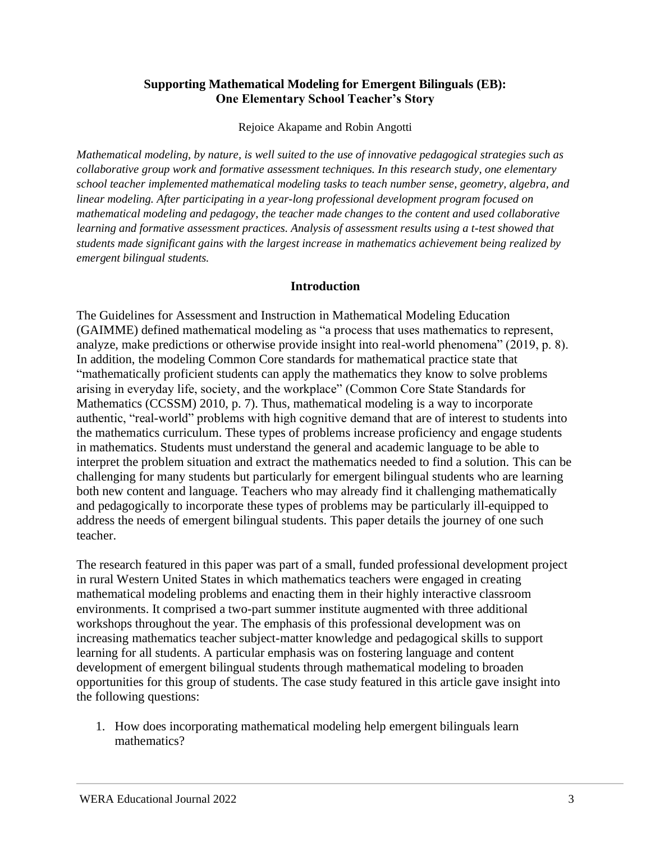#### <span id="page-2-0"></span>**Supporting Mathematical Modeling for Emergent Bilinguals (EB): One Elementary School Teacher's Story**

Rejoice Akapame and Robin Angotti

*Mathematical modeling, by nature, is well suited to the use of innovative pedagogical strategies such as collaborative group work and formative assessment techniques. In this research study, one elementary school teacher implemented mathematical modeling tasks to teach number sense, geometry, algebra, and linear modeling. After participating in a year-long professional development program focused on mathematical modeling and pedagogy, the teacher made changes to the content and used collaborative learning and formative assessment practices. Analysis of assessment results using a t-test showed that students made significant gains with the largest increase in mathematics achievement being realized by emergent bilingual students.*

#### **Introduction**

The Guidelines for Assessment and Instruction in Mathematical Modeling Education (GAIMME) defined mathematical modeling as "a process that uses mathematics to represent, analyze, make predictions or otherwise provide insight into real-world phenomena" (2019, p. 8). In addition, the modeling Common Core standards for mathematical practice state that "mathematically proficient students can apply the mathematics they know to solve problems arising in everyday life, society, and the workplace" (Common Core State Standards for Mathematics (CCSSM) 2010, p. 7). Thus, mathematical modeling is a way to incorporate authentic, "real-world" problems with high cognitive demand that are of interest to students into the mathematics curriculum. These types of problems increase proficiency and engage students in mathematics. Students must understand the general and academic language to be able to interpret the problem situation and extract the mathematics needed to find a solution. This can be challenging for many students but particularly for emergent bilingual students who are learning both new content and language. Teachers who may already find it challenging mathematically and pedagogically to incorporate these types of problems may be particularly ill-equipped to address the needs of emergent bilingual students. This paper details the journey of one such teacher.

The research featured in this paper was part of a small, funded professional development project in rural Western United States in which mathematics teachers were engaged in creating mathematical modeling problems and enacting them in their highly interactive classroom environments. It comprised a two-part summer institute augmented with three additional workshops throughout the year. The emphasis of this professional development was on increasing mathematics teacher subject-matter knowledge and pedagogical skills to support learning for all students. A particular emphasis was on fostering language and content development of emergent bilingual students through mathematical modeling to broaden opportunities for this group of students. The case study featured in this article gave insight into the following questions:

1. How does incorporating mathematical modeling help emergent bilinguals learn mathematics?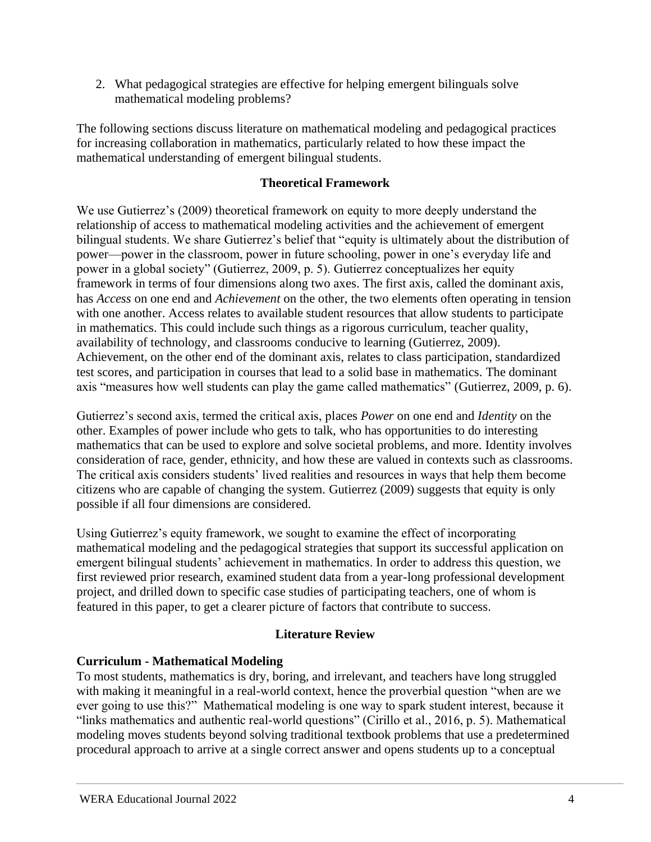2. What pedagogical strategies are effective for helping emergent bilinguals solve mathematical modeling problems?

The following sections discuss literature on mathematical modeling and pedagogical practices for increasing collaboration in mathematics, particularly related to how these impact the mathematical understanding of emergent bilingual students.

# **Theoretical Framework**

We use Gutierrez's (2009) theoretical framework on equity to more deeply understand the relationship of access to mathematical modeling activities and the achievement of emergent bilingual students. We share Gutierrez's belief that "equity is ultimately about the distribution of power—power in the classroom, power in future schooling, power in one's everyday life and power in a global society" (Gutierrez, 2009, p. 5). Gutierrez conceptualizes her equity framework in terms of four dimensions along two axes. The first axis, called the dominant axis, has *Access* on one end and *Achievement* on the other, the two elements often operating in tension with one another. Access relates to available student resources that allow students to participate in mathematics. This could include such things as a rigorous curriculum, teacher quality, availability of technology, and classrooms conducive to learning (Gutierrez, 2009). Achievement, on the other end of the dominant axis, relates to class participation, standardized test scores, and participation in courses that lead to a solid base in mathematics. The dominant axis "measures how well students can play the game called mathematics" (Gutierrez, 2009, p. 6).

Gutierrez's second axis, termed the critical axis, places *Power* on one end and *Identity* on the other. Examples of power include who gets to talk, who has opportunities to do interesting mathematics that can be used to explore and solve societal problems, and more. Identity involves consideration of race, gender, ethnicity, and how these are valued in contexts such as classrooms. The critical axis considers students' lived realities and resources in ways that help them become citizens who are capable of changing the system. Gutierrez (2009) suggests that equity is only possible if all four dimensions are considered.

Using Gutierrez's equity framework, we sought to examine the effect of incorporating mathematical modeling and the pedagogical strategies that support its successful application on emergent bilingual students' achievement in mathematics. In order to address this question, we first reviewed prior research, examined student data from a year-long professional development project, and drilled down to specific case studies of participating teachers, one of whom is featured in this paper, to get a clearer picture of factors that contribute to success.

# **Literature Review**

# **Curriculum - Mathematical Modeling**

To most students, mathematics is dry, boring, and irrelevant, and teachers have long struggled with making it meaningful in a real-world context, hence the proverbial question "when are we ever going to use this?" Mathematical modeling is one way to spark student interest, because it "links mathematics and authentic real-world questions" (Cirillo et al., 2016, p. 5). Mathematical modeling moves students beyond solving traditional textbook problems that use a predetermined procedural approach to arrive at a single correct answer and opens students up to a conceptual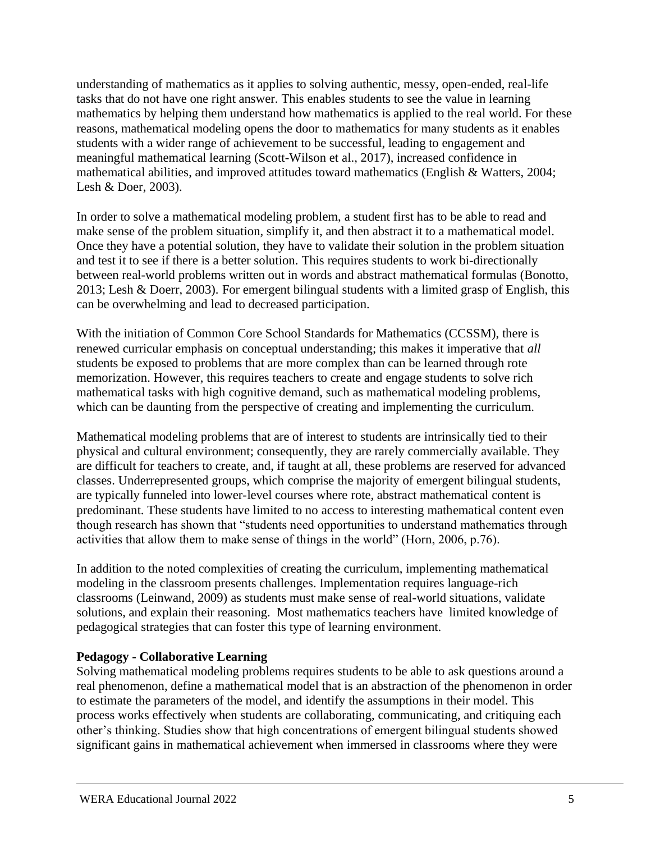understanding of mathematics as it applies to solving authentic, messy, open-ended, real-life tasks that do not have one right answer. This enables students to see the value in learning mathematics by helping them understand how mathematics is applied to the real world. For these reasons, mathematical modeling opens the door to mathematics for many students as it enables students with a wider range of achievement to be successful, leading to engagement and meaningful mathematical learning (Scott-Wilson et al., 2017), increased confidence in mathematical abilities, and improved attitudes toward mathematics (English & Watters, 2004; Lesh & Doer, 2003).

In order to solve a mathematical modeling problem, a student first has to be able to read and make sense of the problem situation, simplify it, and then abstract it to a mathematical model. Once they have a potential solution, they have to validate their solution in the problem situation and test it to see if there is a better solution. This requires students to work bi-directionally between real-world problems written out in words and abstract mathematical formulas (Bonotto, 2013; Lesh & Doerr, 2003). For emergent bilingual students with a limited grasp of English, this can be overwhelming and lead to decreased participation.

With the initiation of Common Core School Standards for Mathematics (CCSSM), there is renewed curricular emphasis on conceptual understanding; this makes it imperative that *all* students be exposed to problems that are more complex than can be learned through rote memorization. However, this requires teachers to create and engage students to solve rich mathematical tasks with high cognitive demand, such as mathematical modeling problems, which can be daunting from the perspective of creating and implementing the curriculum.

Mathematical modeling problems that are of interest to students are intrinsically tied to their physical and cultural environment; consequently, they are rarely commercially available. They are difficult for teachers to create, and, if taught at all, these problems are reserved for advanced classes. Underrepresented groups, which comprise the majority of emergent bilingual students, are typically funneled into lower-level courses where rote, abstract mathematical content is predominant. These students have limited to no access to interesting mathematical content even though research has shown that "students need opportunities to understand mathematics through activities that allow them to make sense of things in the world" (Horn, 2006, p.76).

In addition to the noted complexities of creating the curriculum, implementing mathematical modeling in the classroom presents challenges. Implementation requires language-rich classrooms (Leinwand, 2009) as students must make sense of real-world situations, validate solutions, and explain their reasoning. Most mathematics teachers have limited knowledge of pedagogical strategies that can foster this type of learning environment.

# **Pedagogy - Collaborative Learning**

Solving mathematical modeling problems requires students to be able to ask questions around a real phenomenon, define a mathematical model that is an abstraction of the phenomenon in order to estimate the parameters of the model, and identify the assumptions in their model. This process works effectively when students are collaborating, communicating, and critiquing each other's thinking. Studies show that high concentrations of emergent bilingual students showed significant gains in mathematical achievement when immersed in classrooms where they were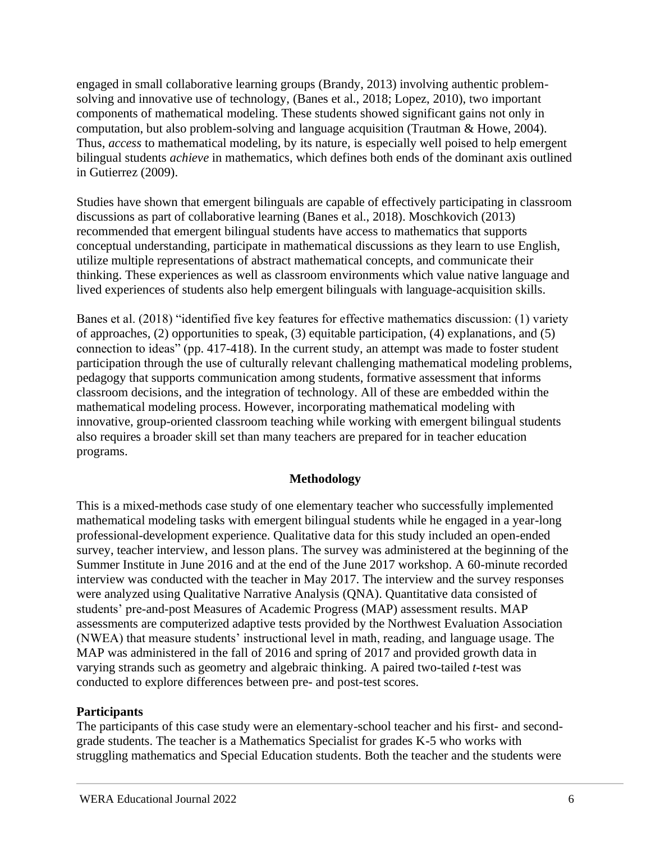engaged in small collaborative learning groups (Brandy, 2013) involving authentic problemsolving and innovative use of technology, (Banes et al., 2018; Lopez, 2010), two important components of mathematical modeling. These students showed significant gains not only in computation, but also problem-solving and language acquisition (Trautman & Howe, 2004). Thus, *access* to mathematical modeling, by its nature, is especially well poised to help emergent bilingual students *achieve* in mathematics, which defines both ends of the dominant axis outlined in Gutierrez (2009).

Studies have shown that emergent bilinguals are capable of effectively participating in classroom discussions as part of collaborative learning (Banes et al., 2018). Moschkovich (2013) recommended that emergent bilingual students have access to mathematics that supports conceptual understanding, participate in mathematical discussions as they learn to use English, utilize multiple representations of abstract mathematical concepts, and communicate their thinking. These experiences as well as classroom environments which value native language and lived experiences of students also help emergent bilinguals with language-acquisition skills.

Banes et al. (2018) "identified five key features for effective mathematics discussion: (1) variety of approaches, (2) opportunities to speak, (3) equitable participation, (4) explanations, and (5) connection to ideas" (pp. 417-418). In the current study, an attempt was made to foster student participation through the use of culturally relevant challenging mathematical modeling problems, pedagogy that supports communication among students, formative assessment that informs classroom decisions, and the integration of technology. All of these are embedded within the mathematical modeling process. However, incorporating mathematical modeling with innovative, group-oriented classroom teaching while working with emergent bilingual students also requires a broader skill set than many teachers are prepared for in teacher education programs.

#### **Methodology**

This is a mixed-methods case study of one elementary teacher who successfully implemented mathematical modeling tasks with emergent bilingual students while he engaged in a year-long professional-development experience. Qualitative data for this study included an open-ended survey, teacher interview, and lesson plans. The survey was administered at the beginning of the Summer Institute in June 2016 and at the end of the June 2017 workshop. A 60-minute recorded interview was conducted with the teacher in May 2017. The interview and the survey responses were analyzed using Qualitative Narrative Analysis (QNA). Quantitative data consisted of students' pre-and-post Measures of Academic Progress (MAP) assessment results. MAP assessments are computerized adaptive tests provided by the Northwest Evaluation Association (NWEA) that measure students' instructional level in math, reading, and language usage. The MAP was administered in the fall of 2016 and spring of 2017 and provided growth data in varying strands such as geometry and algebraic thinking. A paired two-tailed *t*-test was conducted to explore differences between pre- and post-test scores.

#### **Participants**

The participants of this case study were an elementary-school teacher and his first- and secondgrade students. The teacher is a Mathematics Specialist for grades K-5 who works with struggling mathematics and Special Education students. Both the teacher and the students were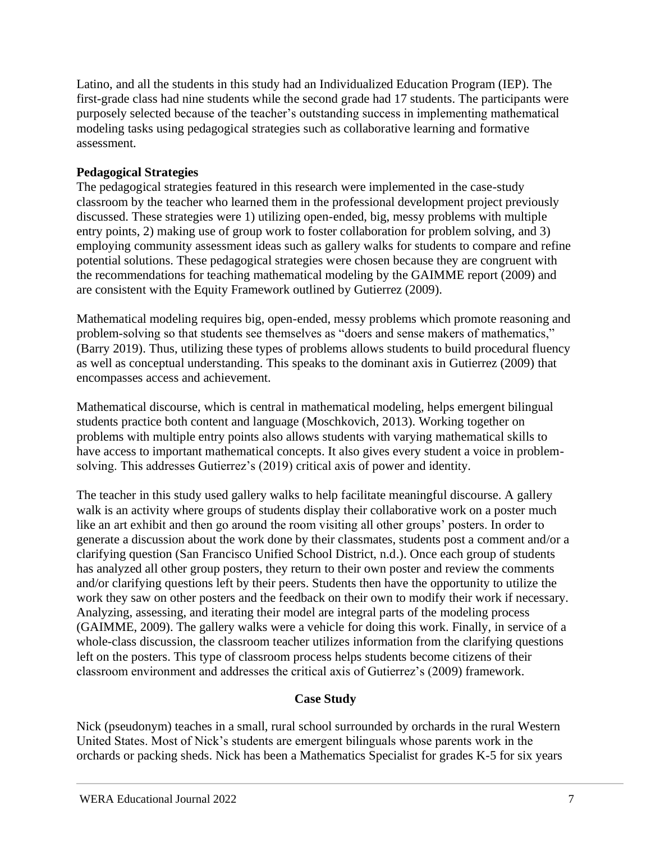Latino, and all the students in this study had an Individualized Education Program (IEP). The first-grade class had nine students while the second grade had 17 students. The participants were purposely selected because of the teacher's outstanding success in implementing mathematical modeling tasks using pedagogical strategies such as collaborative learning and formative assessment.

# **Pedagogical Strategies**

The pedagogical strategies featured in this research were implemented in the case-study classroom by the teacher who learned them in the professional development project previously discussed. These strategies were 1) utilizing open-ended, big, messy problems with multiple entry points, 2) making use of group work to foster collaboration for problem solving, and 3) employing community assessment ideas such as gallery walks for students to compare and refine potential solutions. These pedagogical strategies were chosen because they are congruent with the recommendations for teaching mathematical modeling by the GAIMME report (2009) and are consistent with the Equity Framework outlined by Gutierrez (2009).

Mathematical modeling requires big, open-ended, messy problems which promote reasoning and problem-solving so that students see themselves as "doers and sense makers of mathematics," (Barry 2019). Thus, utilizing these types of problems allows students to build procedural fluency as well as conceptual understanding. This speaks to the dominant axis in Gutierrez (2009) that encompasses access and achievement.

Mathematical discourse, which is central in mathematical modeling, helps emergent bilingual students practice both content and language (Moschkovich, 2013). Working together on problems with multiple entry points also allows students with varying mathematical skills to have access to important mathematical concepts. It also gives every student a voice in problemsolving. This addresses Gutierrez's (2019) critical axis of power and identity.

The teacher in this study used gallery walks to help facilitate meaningful discourse. A gallery walk is an activity where groups of students display their collaborative work on a poster much like an art exhibit and then go around the room visiting all other groups' posters. In order to generate a discussion about the work done by their classmates, students post a comment and/or a clarifying question (San Francisco Unified School District, n.d.). Once each group of students has analyzed all other group posters, they return to their own poster and review the comments and/or clarifying questions left by their peers. Students then have the opportunity to utilize the work they saw on other posters and the feedback on their own to modify their work if necessary. Analyzing, assessing, and iterating their model are integral parts of the modeling process (GAIMME, 2009). The gallery walks were a vehicle for doing this work. Finally, in service of a whole-class discussion, the classroom teacher utilizes information from the clarifying questions left on the posters. This type of classroom process helps students become citizens of their classroom environment and addresses the critical axis of Gutierrez's (2009) framework.

# **Case Study**

Nick (pseudonym) teaches in a small, rural school surrounded by orchards in the rural Western United States. Most of Nick's students are emergent bilinguals whose parents work in the orchards or packing sheds. Nick has been a Mathematics Specialist for grades K-5 for six years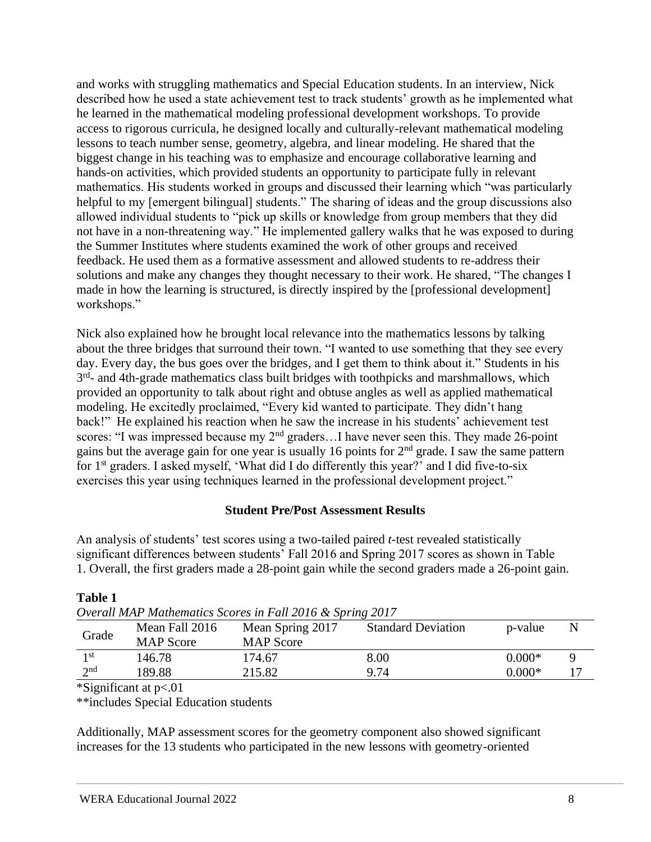and works with struggling mathematics and Special Education students. In an interview, Nick described how he used a state achievement test to track students' growth as he implemented what he learned in the mathematical modeling professional development workshops. To provide access to rigorous curricula, he designed locally and culturally-relevant mathematical modeling lessons to teach number sense, geometry, algebra, and linear modeling. He shared that the biggest change in his teaching was to emphasize and encourage collaborative learning and hands-on activities, which provided students an opportunity to participate fully in relevant mathematics. His students worked in groups and discussed their learning which "was particularly helpful to my [emergent bilingual] students." The sharing of ideas and the group discussions also allowed individual students to "pick up skills or knowledge from group members that they did not have in a non-threatening way." He implemented gallery walks that he was exposed to during the Summer Institutes where students examined the work of other groups and received feedback. He used them as a formative assessment and allowed students to re-address their solutions and make any changes they thought necessary to their work. He shared, "The changes I made in how the learning is structured, is directly inspired by the [professional development] workshops."

Nick also explained how he brought local relevance into the mathematics lessons by talking about the three bridges that surround their town. "I wanted to use something that they see every day. Every day, the bus goes over the bridges, and I get them to think about it." Students in his 3<sup>rd</sup>- and 4th-grade mathematics class built bridges with toothpicks and marshmallows, which provided an opportunity to talk about right and obtuse angles as well as applied mathematical modeling. He excitedly proclaimed, "Every kid wanted to participate. They didn't hang back!" He explained his reaction when he saw the increase in his students' achievement test scores: "I was impressed because my 2<sup>nd</sup> graders...I have never seen this. They made 26-point gains but the average gain for one year is usually 16 points for 2nd grade. I saw the same pattern for 1<sup>st</sup> graders. I asked myself, 'What did I do differently this year?' and I did five-to-six exercises this year using techniques learned in the professional development project."

# **Student Pre/Post Assessment Results**

An analysis of students' test scores using a two-tailed paired *t*-test revealed statistically significant differences between students' Fall 2016 and Spring 2017 scores as shown in Table 1. Overall, the first graders made a 28-point gain while the second graders made a 26-point gain.

| Overall MAP Mathematics Scores in Fall 2016 & Spring 2017 |                  |                  |                           |          |   |
|-----------------------------------------------------------|------------------|------------------|---------------------------|----------|---|
| Grade                                                     | Mean Fall 2016   | Mean Spring 2017 | <b>Standard Deviation</b> | p-value  | N |
|                                                           | <b>MAP</b> Score | <b>MAP</b> Score |                           |          |   |
| 1 st                                                      | 146.78           | 174.67           | 8.00                      | $0.000*$ |   |
| 2nd                                                       | 189.88           | 215.82           | 9.74                      | $0.000*$ |   |
|                                                           |                  |                  |                           |          |   |

# **Table 1**

*Overall MAP Mathematics Scores in Fall 2016 & Spring 2017*

\*Significant at p<.01

\*\*includes Special Education students

Additionally, MAP assessment scores for the geometry component also showed significant increases for the 13 students who participated in the new lessons with geometry-oriented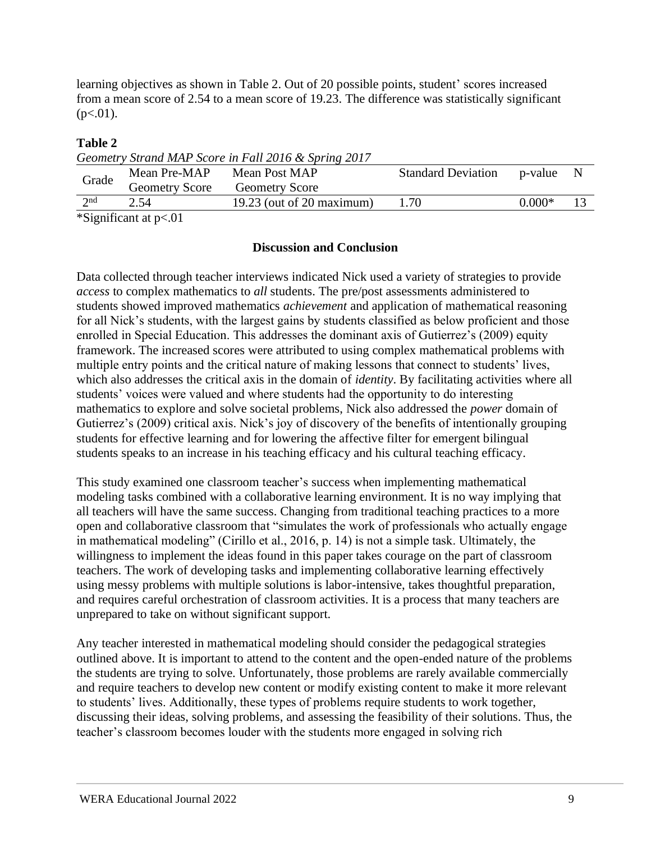learning objectives as shown in Table 2. Out of 20 possible points, student' scores increased from a mean score of 2.54 to a mean score of 19.23. The difference was statistically significant  $(p<.01)$ .

# **Table 2**

*Geometry Strand MAP Score in Fall 2016 & Spring 2017*

| Grade           | Mean Pre-MAP                               | Mean Post MAP               | <b>Standard Deviation</b> | p-value  |  |
|-----------------|--------------------------------------------|-----------------------------|---------------------------|----------|--|
|                 | <b>Geometry Score</b>                      | <b>Geometry Score</b>       |                           |          |  |
| 2 <sub>nd</sub> | 2.54                                       | $19.23$ (out of 20 maximum) | 1.70                      | $0.000*$ |  |
|                 | $\frac{1}{2}$ Significant at $n \times 01$ |                             |                           |          |  |

\*Significant at p<.01

#### **Discussion and Conclusion**

Data collected through teacher interviews indicated Nick used a variety of strategies to provide *access* to complex mathematics to *all* students. The pre/post assessments administered to students showed improved mathematics *achievement* and application of mathematical reasoning for all Nick's students, with the largest gains by students classified as below proficient and those enrolled in Special Education. This addresses the dominant axis of Gutierrez's (2009) equity framework. The increased scores were attributed to using complex mathematical problems with multiple entry points and the critical nature of making lessons that connect to students' lives, which also addresses the critical axis in the domain of *identity*. By facilitating activities where all students' voices were valued and where students had the opportunity to do interesting mathematics to explore and solve societal problems, Nick also addressed the *power* domain of Gutierrez's (2009) critical axis. Nick's joy of discovery of the benefits of intentionally grouping students for effective learning and for lowering the affective filter for emergent bilingual students speaks to an increase in his teaching efficacy and his cultural teaching efficacy.

This study examined one classroom teacher's success when implementing mathematical modeling tasks combined with a collaborative learning environment. It is no way implying that all teachers will have the same success. Changing from traditional teaching practices to a more open and collaborative classroom that "simulates the work of professionals who actually engage in mathematical modeling" (Cirillo et al., 2016, p. 14) is not a simple task. Ultimately, the willingness to implement the ideas found in this paper takes courage on the part of classroom teachers. The work of developing tasks and implementing collaborative learning effectively using messy problems with multiple solutions is labor-intensive, takes thoughtful preparation, and requires careful orchestration of classroom activities. It is a process that many teachers are unprepared to take on without significant support.

Any teacher interested in mathematical modeling should consider the pedagogical strategies outlined above. It is important to attend to the content and the open-ended nature of the problems the students are trying to solve. Unfortunately, those problems are rarely available commercially and require teachers to develop new content or modify existing content to make it more relevant to students' lives. Additionally, these types of problems require students to work together, discussing their ideas, solving problems, and assessing the feasibility of their solutions. Thus, the teacher's classroom becomes louder with the students more engaged in solving rich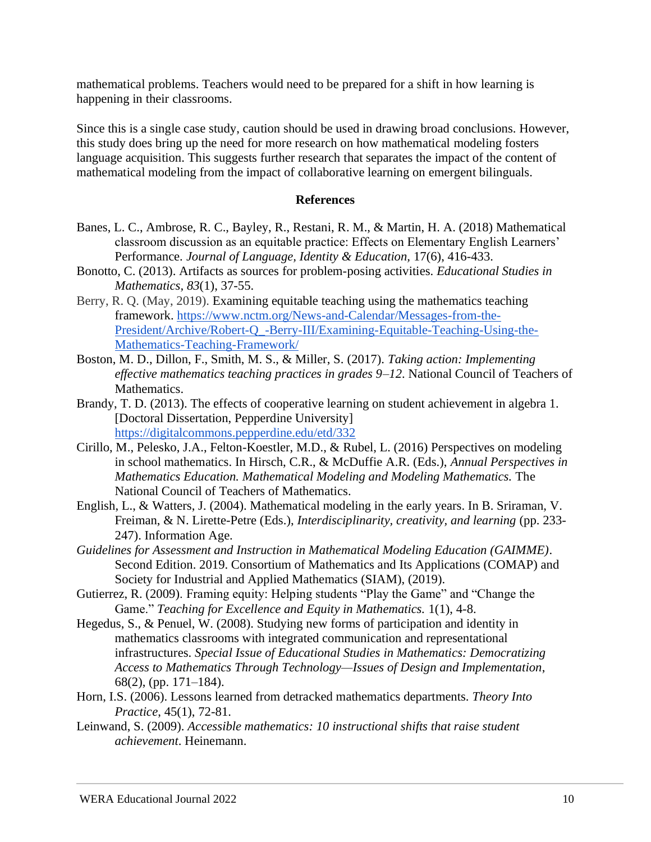mathematical problems. Teachers would need to be prepared for a shift in how learning is happening in their classrooms.

Since this is a single case study, caution should be used in drawing broad conclusions. However, this study does bring up the need for more research on how mathematical modeling fosters language acquisition. This suggests further research that separates the impact of the content of mathematical modeling from the impact of collaborative learning on emergent bilinguals.

#### **References**

- Banes, L. C., Ambrose, R. C., Bayley, R., Restani, R. M., & Martin, H. A. (2018) Mathematical classroom discussion as an equitable practice: Effects on Elementary English Learners' Performance. *Journal of Language, Identity & Education,* 17(6), 416-433.
- Bonotto, C. (2013). Artifacts as sources for problem-posing activities. *Educational Studies in Mathematics, 83*(1), 37-55.
- Berry, R. Q. (May, 2019). Examining equitable teaching using the mathematics teaching framework. [https://www.nctm.org/News-and-Calendar/Messages-from-the-](https://www.nctm.org/News-and-Calendar/Messages-from-the-President/Archive/Robert-Q_-Berry-III/Examining-Equitable-Teaching-Using-the-Mathematics-Teaching-Framework/)[President/Archive/Robert-Q\\_-Berry-III/Examining-Equitable-Teaching-Using-the-](https://www.nctm.org/News-and-Calendar/Messages-from-the-President/Archive/Robert-Q_-Berry-III/Examining-Equitable-Teaching-Using-the-Mathematics-Teaching-Framework/)[Mathematics-Teaching-Framework/](https://www.nctm.org/News-and-Calendar/Messages-from-the-President/Archive/Robert-Q_-Berry-III/Examining-Equitable-Teaching-Using-the-Mathematics-Teaching-Framework/)
- Boston, M. D., Dillon, F., Smith, M. S., & Miller, S. (2017). *Taking action: Implementing effective mathematics teaching practices in grades 9–12*. National Council of Teachers of Mathematics.
- Brandy, T. D. (2013). The effects of cooperative learning on student achievement in algebra 1. [Doctoral Dissertation, Pepperdine University] <https://digitalcommons.pepperdine.edu/etd/332>
- Cirillo, M., Pelesko, J.A., Felton-Koestler, M.D., & Rubel, L. (2016) Perspectives on modeling in school mathematics. In Hirsch, C.R., & McDuffie A.R. (Eds.), *Annual Perspectives in Mathematics Education. Mathematical Modeling and Modeling Mathematics.* The National Council of Teachers of Mathematics.
- English, L., & Watters, J. (2004). Mathematical modeling in the early years. In B. Sriraman, V. Freiman, & N. Lirette-Petre (Eds.), *Interdisciplinarity, creativity, and learning* (pp. 233- 247). Information Age.
- *Guidelines for Assessment and Instruction in Mathematical Modeling Education (GAIMME)*. Second Edition. 2019. Consortium of Mathematics and Its Applications (COMAP) and Society for Industrial and Applied Mathematics (SIAM), (2019).
- Gutierrez, R. (2009). Framing equity: Helping students "Play the Game" and "Change the Game." *Teaching for Excellence and Equity in Mathematics.* 1(1), 4-8.
- Hegedus, S., & Penuel, W. (2008). Studying new forms of participation and identity in mathematics classrooms with integrated communication and representational infrastructures. *Special Issue of Educational Studies in Mathematics: Democratizing Access to Mathematics Through Technology—Issues of Design and Implementation*, 68(2), (pp. 171–184).
- Horn, I.S. (2006). Lessons learned from detracked mathematics departments. *Theory Into Practice*, 45(1), 72-81.
- Leinwand, S. (2009). *Accessible mathematics: 10 instructional shifts that raise student achievement*. Heinemann.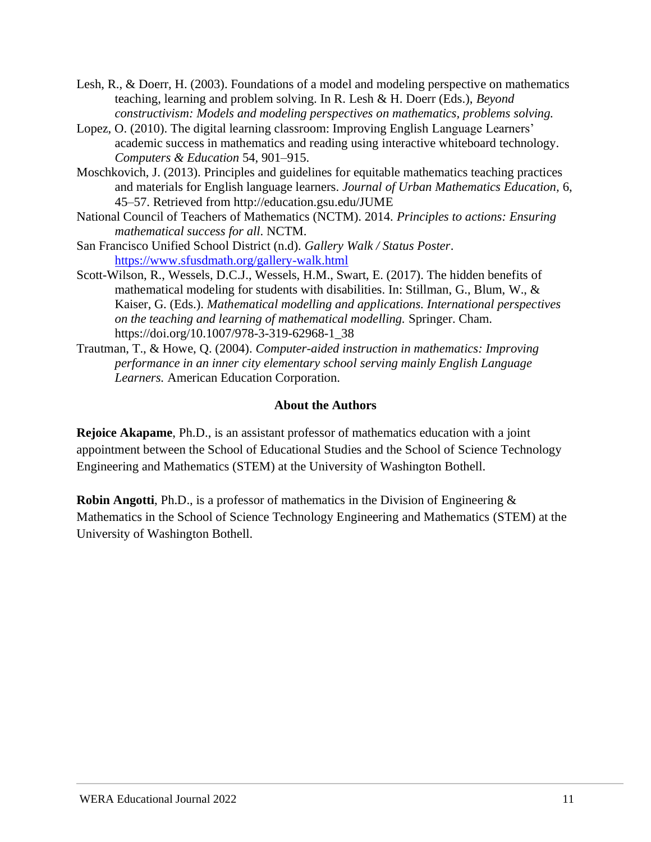- Lesh, R., & Doerr, H. (2003). Foundations of a model and modeling perspective on mathematics teaching, learning and problem solving. In R. Lesh & H. Doerr (Eds.), *Beyond constructivism: Models and modeling perspectives on mathematics, problems solving.*
- Lopez, O. (2010). The digital learning classroom: Improving English Language Learners' academic success in mathematics and reading using interactive whiteboard technology. *Computers & Education* 54, 901–915.
- Moschkovich, J. (2013). Principles and guidelines for equitable mathematics teaching practices and materials for English language learners. *Journal of Urban Mathematics Education,* 6, 45–57. Retrieved from http://education.gsu.edu/JUME
- National Council of Teachers of Mathematics (NCTM). 2014. *Principles to actions: Ensuring mathematical success for all*. NCTM.
- San Francisco Unified School District (n.d). *Gallery Walk / Status Poster*. <https://www.sfusdmath.org/gallery-walk.html>
- Scott-Wilson, R., Wessels, D.C.J., Wessels, H.M., Swart, E. (2017). The hidden benefits of mathematical modeling for students with disabilities. In: Stillman, G., Blum, W., & Kaiser, G. (Eds.). *Mathematical modelling and applications. International perspectives on the teaching and learning of mathematical modelling.* Springer. Cham. https://doi.org/10.1007/978-3-319-62968-1\_38
- Trautman, T., & Howe, Q. (2004). *Computer-aided instruction in mathematics: Improving performance in an inner city elementary school serving mainly English Language Learners.* American Education Corporation.

#### **About the Authors**

**Rejoice Akapame**, Ph.D., is an assistant professor of mathematics education with a joint appointment between the School of Educational Studies and the School of Science Technology Engineering and Mathematics (STEM) at the University of Washington Bothell.

**Robin Angotti**, Ph.D., is a professor of mathematics in the Division of Engineering  $\&$ Mathematics in the School of Science Technology Engineering and Mathematics (STEM) at the University of Washington Bothell.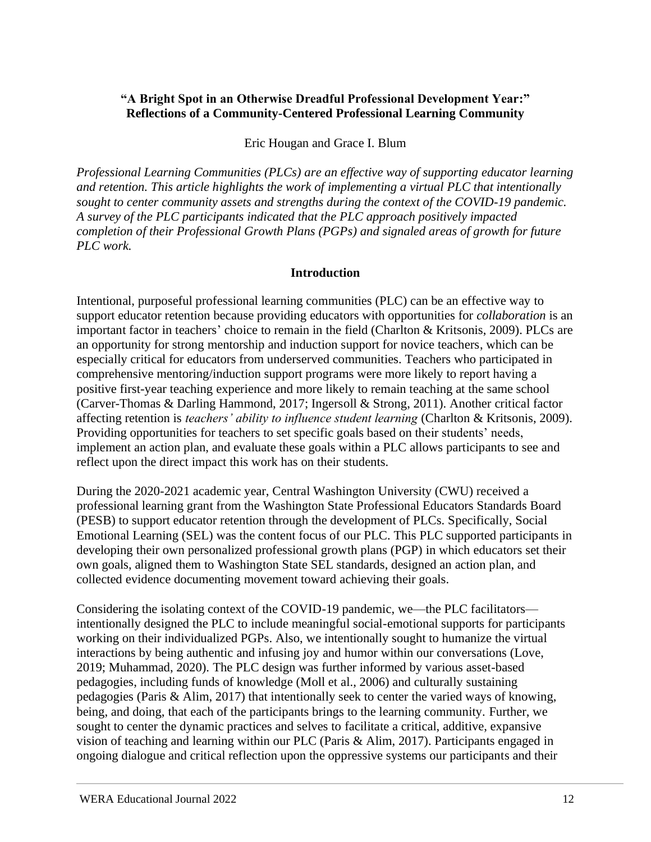# <span id="page-11-0"></span>**"A Bright Spot in an Otherwise Dreadful Professional Development Year:" Reflections of a Community-Centered Professional Learning Community**

# Eric Hougan and Grace I. Blum

*Professional Learning Communities (PLCs) are an effective way of supporting educator learning and retention. This article highlights the work of implementing a virtual PLC that intentionally sought to center community assets and strengths during the context of the COVID-19 pandemic. A survey of the PLC participants indicated that the PLC approach positively impacted completion of their Professional Growth Plans (PGPs) and signaled areas of growth for future PLC work.*

# **Introduction**

Intentional, purposeful professional learning communities (PLC) can be an effective way to support educator retention because providing educators with opportunities for *collaboration* is an important factor in teachers' choice to remain in the field (Charlton & Kritsonis, 2009). PLCs are an opportunity for strong mentorship and induction support for novice teachers, which can be especially critical for educators from underserved communities. Teachers who participated in comprehensive mentoring/induction support programs were more likely to report having a positive first-year teaching experience and more likely to remain teaching at the same school (Carver-Thomas & Darling Hammond, 2017; Ingersoll & Strong, 2011). Another critical factor affecting retention is *teachers' ability to influence student learning* (Charlton & Kritsonis, 2009). Providing opportunities for teachers to set specific goals based on their students' needs, implement an action plan, and evaluate these goals within a PLC allows participants to see and reflect upon the direct impact this work has on their students.

During the 2020-2021 academic year, Central Washington University (CWU) received a professional learning grant from the Washington State Professional Educators Standards Board (PESB) to support educator retention through the development of PLCs. Specifically, Social Emotional Learning (SEL) was the content focus of our PLC. This PLC supported participants in developing their own personalized professional growth plans (PGP) in which educators set their own goals, aligned them to Washington State SEL standards, designed an action plan, and collected evidence documenting movement toward achieving their goals.

Considering the isolating context of the COVID-19 pandemic, we—the PLC facilitators intentionally designed the PLC to include meaningful social-emotional supports for participants working on their individualized PGPs. Also, we intentionally sought to humanize the virtual interactions by being authentic and infusing joy and humor within our conversations (Love, 2019; Muhammad, 2020). The PLC design was further informed by various asset-based pedagogies, including funds of knowledge (Moll et al., 2006) and culturally sustaining pedagogies (Paris & Alim, 2017) that intentionally seek to center the varied ways of knowing, being, and doing, that each of the participants brings to the learning community. Further, we sought to center the dynamic practices and selves to facilitate a critical, additive, expansive vision of teaching and learning within our PLC (Paris & Alim, 2017). Participants engaged in ongoing dialogue and critical reflection upon the oppressive systems our participants and their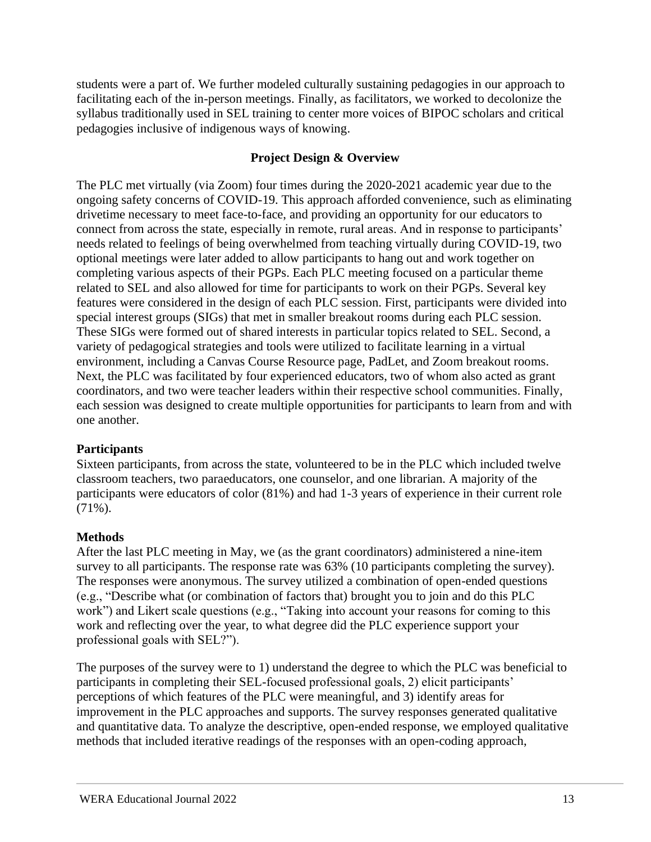students were a part of. We further modeled culturally sustaining pedagogies in our approach to facilitating each of the in-person meetings. Finally, as facilitators, we worked to decolonize the syllabus traditionally used in SEL training to center more voices of BIPOC scholars and critical pedagogies inclusive of indigenous ways of knowing.

# **Project Design & Overview**

The PLC met virtually (via Zoom) four times during the 2020-2021 academic year due to the ongoing safety concerns of COVID-19. This approach afforded convenience, such as eliminating drivetime necessary to meet face-to-face, and providing an opportunity for our educators to connect from across the state, especially in remote, rural areas. And in response to participants' needs related to feelings of being overwhelmed from teaching virtually during COVID-19, two optional meetings were later added to allow participants to hang out and work together on completing various aspects of their PGPs. Each PLC meeting focused on a particular theme related to SEL and also allowed for time for participants to work on their PGPs. Several key features were considered in the design of each PLC session. First, participants were divided into special interest groups (SIGs) that met in smaller breakout rooms during each PLC session. These SIGs were formed out of shared interests in particular topics related to SEL. Second, a variety of pedagogical strategies and tools were utilized to facilitate learning in a virtual environment, including a Canvas Course Resource page, PadLet, and Zoom breakout rooms. Next, the PLC was facilitated by four experienced educators, two of whom also acted as grant coordinators, and two were teacher leaders within their respective school communities. Finally, each session was designed to create multiple opportunities for participants to learn from and with one another.

# **Participants**

Sixteen participants, from across the state, volunteered to be in the PLC which included twelve classroom teachers, two paraeducators, one counselor, and one librarian. A majority of the participants were educators of color (81%) and had 1-3 years of experience in their current role (71%).

# **Methods**

After the last PLC meeting in May, we (as the grant coordinators) administered a nine-item survey to all participants. The response rate was 63% (10 participants completing the survey). The responses were anonymous. The survey utilized a combination of open-ended questions (e.g., "Describe what (or combination of factors that) brought you to join and do this PLC work") and Likert scale questions (e.g., "Taking into account your reasons for coming to this work and reflecting over the year, to what degree did the PLC experience support your professional goals with SEL?").

The purposes of the survey were to 1) understand the degree to which the PLC was beneficial to participants in completing their SEL-focused professional goals, 2) elicit participants' perceptions of which features of the PLC were meaningful, and 3) identify areas for improvement in the PLC approaches and supports. The survey responses generated qualitative and quantitative data. To analyze the descriptive, open-ended response, we employed qualitative methods that included iterative readings of the responses with an open-coding approach,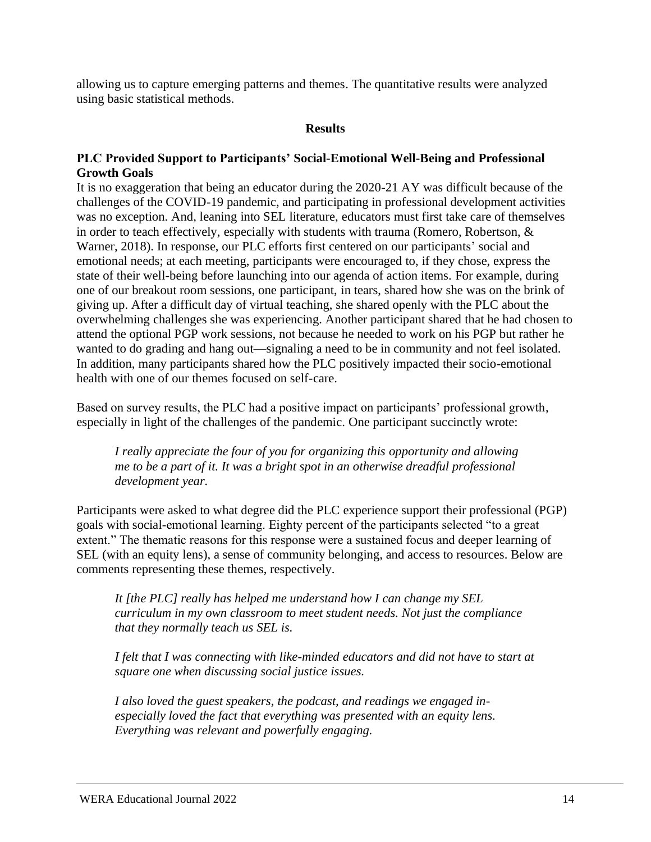allowing us to capture emerging patterns and themes. The quantitative results were analyzed using basic statistical methods.

#### **Results**

#### **PLC Provided Support to Participants' Social-Emotional Well-Being and Professional Growth Goals**

It is no exaggeration that being an educator during the 2020-21 AY was difficult because of the challenges of the COVID-19 pandemic, and participating in professional development activities was no exception. And, leaning into SEL literature, educators must first take care of themselves in order to teach effectively, especially with students with trauma (Romero, Robertson, & Warner, 2018). In response, our PLC efforts first centered on our participants' social and emotional needs; at each meeting, participants were encouraged to, if they chose, express the state of their well-being before launching into our agenda of action items. For example, during one of our breakout room sessions, one participant, in tears, shared how she was on the brink of giving up. After a difficult day of virtual teaching, she shared openly with the PLC about the overwhelming challenges she was experiencing. Another participant shared that he had chosen to attend the optional PGP work sessions, not because he needed to work on his PGP but rather he wanted to do grading and hang out—signaling a need to be in community and not feel isolated. In addition, many participants shared how the PLC positively impacted their socio-emotional health with one of our themes focused on self-care.

Based on survey results, the PLC had a positive impact on participants' professional growth, especially in light of the challenges of the pandemic. One participant succinctly wrote:

*I really appreciate the four of you for organizing this opportunity and allowing me to be a part of it. It was a bright spot in an otherwise dreadful professional development year.*

Participants were asked to what degree did the PLC experience support their professional (PGP) goals with social-emotional learning. Eighty percent of the participants selected "to a great extent." The thematic reasons for this response were a sustained focus and deeper learning of SEL (with an equity lens), a sense of community belonging, and access to resources. Below are comments representing these themes, respectively.

*It [the PLC] really has helped me understand how I can change my SEL curriculum in my own classroom to meet student needs. Not just the compliance that they normally teach us SEL is.*

*I felt that I was connecting with like-minded educators and did not have to start at square one when discussing social justice issues.*

*I also loved the guest speakers, the podcast, and readings we engaged inespecially loved the fact that everything was presented with an equity lens. Everything was relevant and powerfully engaging.*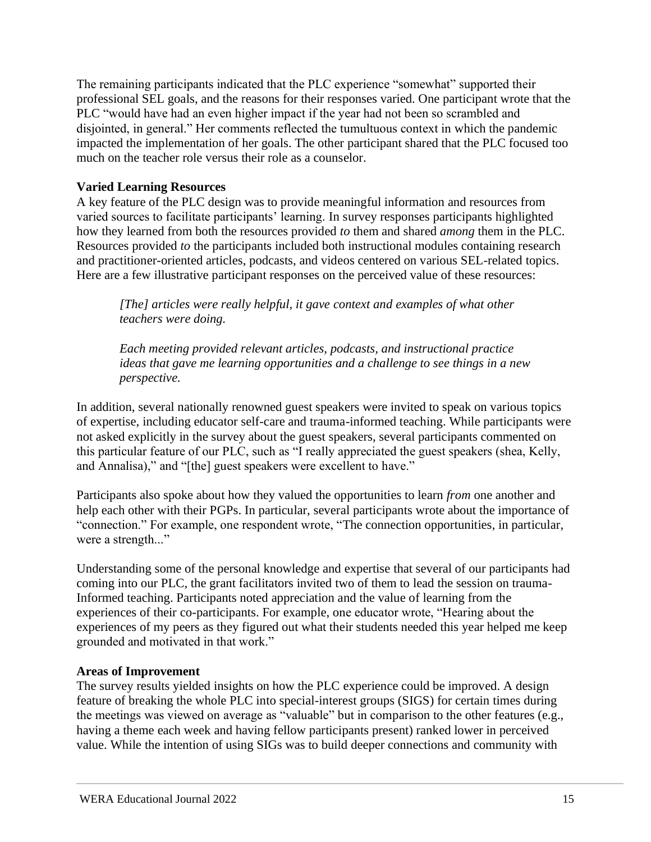The remaining participants indicated that the PLC experience "somewhat" supported their professional SEL goals, and the reasons for their responses varied. One participant wrote that the PLC "would have had an even higher impact if the year had not been so scrambled and disjointed, in general." Her comments reflected the tumultuous context in which the pandemic impacted the implementation of her goals. The other participant shared that the PLC focused too much on the teacher role versus their role as a counselor.

# **Varied Learning Resources**

A key feature of the PLC design was to provide meaningful information and resources from varied sources to facilitate participants' learning. In survey responses participants highlighted how they learned from both the resources provided *to* them and shared *among* them in the PLC. Resources provided *to* the participants included both instructional modules containing research and practitioner-oriented articles, podcasts, and videos centered on various SEL-related topics. Here are a few illustrative participant responses on the perceived value of these resources:

*[The] articles were really helpful, it gave context and examples of what other teachers were doing.*

*Each meeting provided relevant articles, podcasts, and instructional practice ideas that gave me learning opportunities and a challenge to see things in a new perspective.*

In addition, several nationally renowned guest speakers were invited to speak on various topics of expertise, including educator self-care and trauma-informed teaching. While participants were not asked explicitly in the survey about the guest speakers, several participants commented on this particular feature of our PLC, such as "I really appreciated the guest speakers (shea, Kelly, and Annalisa)," and "[the] guest speakers were excellent to have."

Participants also spoke about how they valued the opportunities to learn *from* one another and help each other with their PGPs. In particular, several participants wrote about the importance of "connection." For example, one respondent wrote, "The connection opportunities, in particular, were a strength..."

Understanding some of the personal knowledge and expertise that several of our participants had coming into our PLC, the grant facilitators invited two of them to lead the session on trauma-Informed teaching. Participants noted appreciation and the value of learning from the experiences of their co-participants. For example, one educator wrote, "Hearing about the experiences of my peers as they figured out what their students needed this year helped me keep grounded and motivated in that work."

# **Areas of Improvement**

The survey results yielded insights on how the PLC experience could be improved. A design feature of breaking the whole PLC into special-interest groups (SIGS) for certain times during the meetings was viewed on average as "valuable" but in comparison to the other features (e.g., having a theme each week and having fellow participants present) ranked lower in perceived value. While the intention of using SIGs was to build deeper connections and community with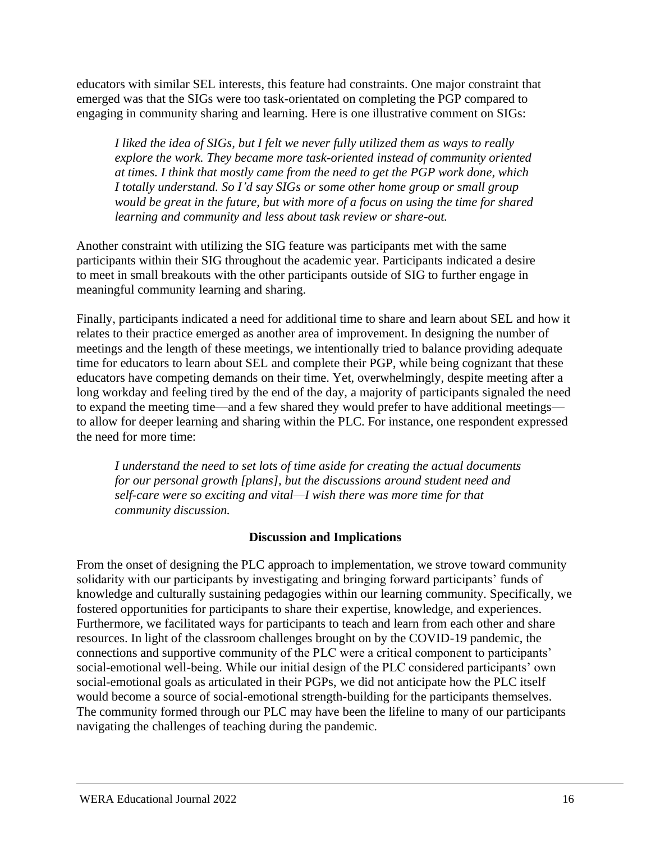educators with similar SEL interests, this feature had constraints. One major constraint that emerged was that the SIGs were too task-orientated on completing the PGP compared to engaging in community sharing and learning. Here is one illustrative comment on SIGs:

*I liked the idea of SIGs, but I felt we never fully utilized them as ways to really explore the work. They became more task-oriented instead of community oriented at times. I think that mostly came from the need to get the PGP work done, which I totally understand. So I'd say SIGs or some other home group or small group would be great in the future, but with more of a focus on using the time for shared learning and community and less about task review or share-out.*

Another constraint with utilizing the SIG feature was participants met with the same participants within their SIG throughout the academic year. Participants indicated a desire to meet in small breakouts with the other participants outside of SIG to further engage in meaningful community learning and sharing.

Finally, participants indicated a need for additional time to share and learn about SEL and how it relates to their practice emerged as another area of improvement. In designing the number of meetings and the length of these meetings, we intentionally tried to balance providing adequate time for educators to learn about SEL and complete their PGP, while being cognizant that these educators have competing demands on their time. Yet, overwhelmingly, despite meeting after a long workday and feeling tired by the end of the day, a majority of participants signaled the need to expand the meeting time—and a few shared they would prefer to have additional meetings to allow for deeper learning and sharing within the PLC. For instance, one respondent expressed the need for more time:

*I understand the need to set lots of time aside for creating the actual documents for our personal growth [plans], but the discussions around student need and self-care were so exciting and vital—I wish there was more time for that community discussion.*

# **Discussion and Implications**

From the onset of designing the PLC approach to implementation, we strove toward community solidarity with our participants by investigating and bringing forward participants' funds of knowledge and culturally sustaining pedagogies within our learning community. Specifically, we fostered opportunities for participants to share their expertise, knowledge, and experiences. Furthermore, we facilitated ways for participants to teach and learn from each other and share resources. In light of the classroom challenges brought on by the COVID-19 pandemic, the connections and supportive community of the PLC were a critical component to participants' social-emotional well-being. While our initial design of the PLC considered participants' own social-emotional goals as articulated in their PGPs, we did not anticipate how the PLC itself would become a source of social-emotional strength-building for the participants themselves. The community formed through our PLC may have been the lifeline to many of our participants navigating the challenges of teaching during the pandemic.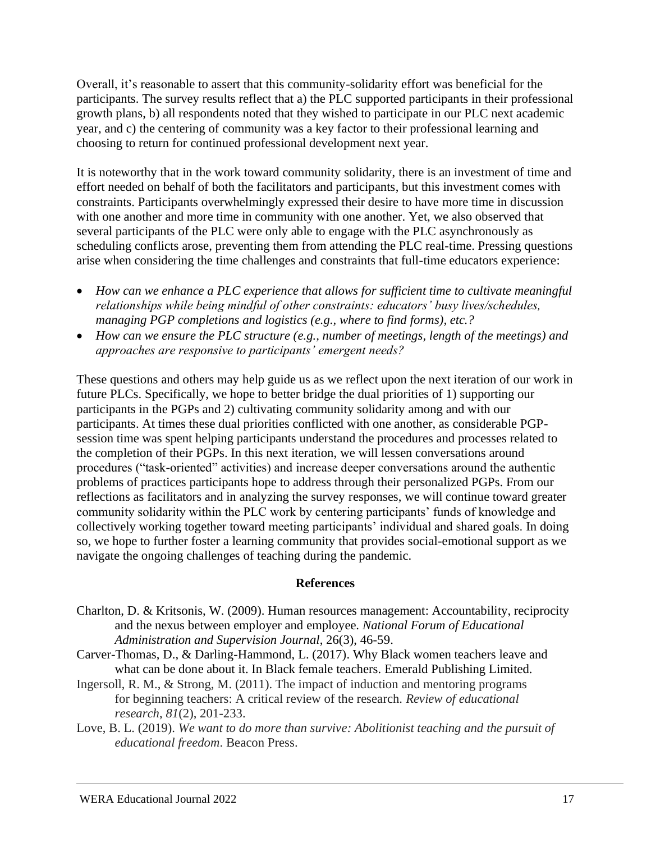Overall, it's reasonable to assert that this community-solidarity effort was beneficial for the participants. The survey results reflect that a) the PLC supported participants in their professional growth plans, b) all respondents noted that they wished to participate in our PLC next academic year, and c) the centering of community was a key factor to their professional learning and choosing to return for continued professional development next year.

It is noteworthy that in the work toward community solidarity, there is an investment of time and effort needed on behalf of both the facilitators and participants, but this investment comes with constraints. Participants overwhelmingly expressed their desire to have more time in discussion with one another and more time in community with one another. Yet, we also observed that several participants of the PLC were only able to engage with the PLC asynchronously as scheduling conflicts arose, preventing them from attending the PLC real-time. Pressing questions arise when considering the time challenges and constraints that full-time educators experience:

- *How can we enhance a PLC experience that allows for sufficient time to cultivate meaningful relationships while being mindful of other constraints: educators' busy lives/schedules, managing PGP completions and logistics (e.g., where to find forms), etc.?*
- *How can we ensure the PLC structure (e.g., number of meetings, length of the meetings) and approaches are responsive to participants' emergent needs?*

These questions and others may help guide us as we reflect upon the next iteration of our work in future PLCs. Specifically, we hope to better bridge the dual priorities of 1) supporting our participants in the PGPs and 2) cultivating community solidarity among and with our participants. At times these dual priorities conflicted with one another, as considerable PGPsession time was spent helping participants understand the procedures and processes related to the completion of their PGPs. In this next iteration, we will lessen conversations around procedures ("task-oriented" activities) and increase deeper conversations around the authentic problems of practices participants hope to address through their personalized PGPs. From our reflections as facilitators and in analyzing the survey responses, we will continue toward greater community solidarity within the PLC work by centering participants' funds of knowledge and collectively working together toward meeting participants' individual and shared goals. In doing so, we hope to further foster a learning community that provides social-emotional support as we navigate the ongoing challenges of teaching during the pandemic.

#### **References**

- Charlton, D. & Kritsonis, W. (2009). Human resources management: Accountability, reciprocity and the nexus between employer and employee. *National Forum of Educational Administration and Supervision Journal*, 26(3), 46-59.
- Carver-Thomas, D., & Darling-Hammond, L. (2017). Why Black women teachers leave and what can be done about it. In Black female teachers. Emerald Publishing Limited.
- Ingersoll, R. M., & Strong, M. (2011). The impact of induction and mentoring programs for beginning teachers: A critical review of the research. *Review of educational research*, *81*(2), 201-233.
- Love, B. L. (2019). *We want to do more than survive: Abolitionist teaching and the pursuit of educational freedom*. Beacon Press.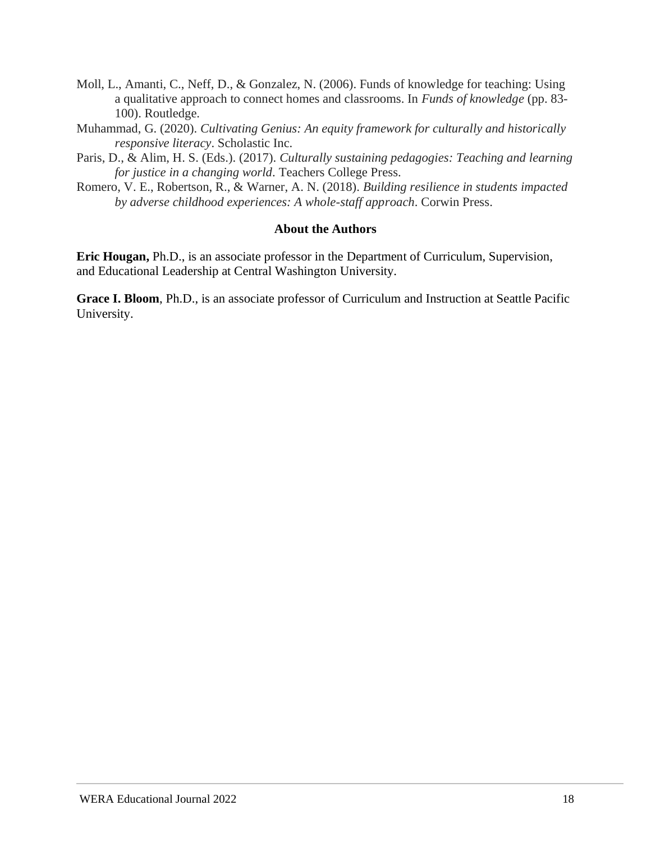- Moll, L., Amanti, C., Neff, D., & Gonzalez, N. (2006). Funds of knowledge for teaching: Using a qualitative approach to connect homes and classrooms. In *Funds of knowledge* (pp. 83- 100). Routledge.
- Muhammad, G. (2020). *Cultivating Genius: An equity framework for culturally and historically responsive literacy*. Scholastic Inc.
- Paris, D., & Alim, H. S. (Eds.). (2017). *Culturally sustaining pedagogies: Teaching and learning for justice in a changing world*. Teachers College Press.
- Romero, V. E., Robertson, R., & Warner, A. N. (2018). *Building resilience in students impacted by adverse childhood experiences: A whole-staff approach*. Corwin Press.

#### **About the Authors**

**Eric Hougan,** Ph.D., is an associate professor in the Department of Curriculum, Supervision, and Educational Leadership at Central Washington University.

**Grace I. Bloom**, Ph.D., is an associate professor of Curriculum and Instruction at Seattle Pacific University.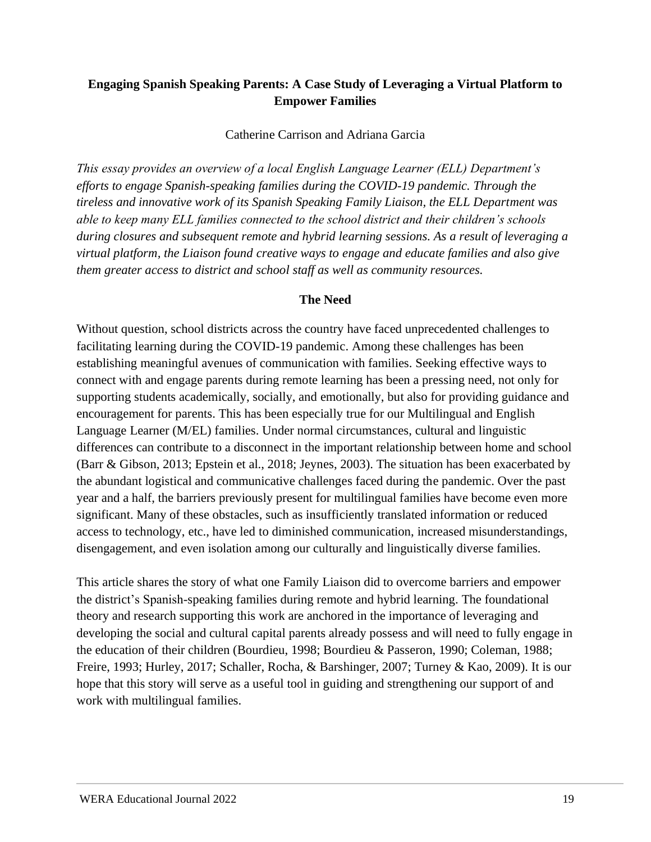# <span id="page-18-0"></span>**Engaging Spanish Speaking Parents: A Case Study of Leveraging a Virtual Platform to Empower Families**

Catherine Carrison and Adriana Garcia

*This essay provides an overview of a local English Language Learner (ELL) Department's efforts to engage Spanish-speaking families during the COVID-19 pandemic. Through the tireless and innovative work of its Spanish Speaking Family Liaison, the ELL Department was able to keep many ELL families connected to the school district and their children's schools during closures and subsequent remote and hybrid learning sessions. As a result of leveraging a virtual platform, the Liaison found creative ways to engage and educate families and also give them greater access to district and school staff as well as community resources.* 

#### **The Need**

Without question, school districts across the country have faced unprecedented challenges to facilitating learning during the COVID-19 pandemic. Among these challenges has been establishing meaningful avenues of communication with families. Seeking effective ways to connect with and engage parents during remote learning has been a pressing need, not only for supporting students academically, socially, and emotionally, but also for providing guidance and encouragement for parents. This has been especially true for our Multilingual and English Language Learner (M/EL) families. Under normal circumstances, cultural and linguistic differences can contribute to a disconnect in the important relationship between home and school (Barr & Gibson, 2013; Epstein et al., 2018; Jeynes, 2003). The situation has been exacerbated by the abundant logistical and communicative challenges faced during the pandemic. Over the past year and a half, the barriers previously present for multilingual families have become even more significant. Many of these obstacles, such as insufficiently translated information or reduced access to technology, etc., have led to diminished communication, increased misunderstandings, disengagement, and even isolation among our culturally and linguistically diverse families.

This article shares the story of what one Family Liaison did to overcome barriers and empower the district's Spanish-speaking families during remote and hybrid learning. The foundational theory and research supporting this work are anchored in the importance of leveraging and developing the social and cultural capital parents already possess and will need to fully engage in the education of their children (Bourdieu, 1998; Bourdieu & Passeron, 1990; Coleman, 1988; Freire, 1993; Hurley, 2017; Schaller, Rocha, & Barshinger, 2007; Turney & Kao, 2009). It is our hope that this story will serve as a useful tool in guiding and strengthening our support of and work with multilingual families.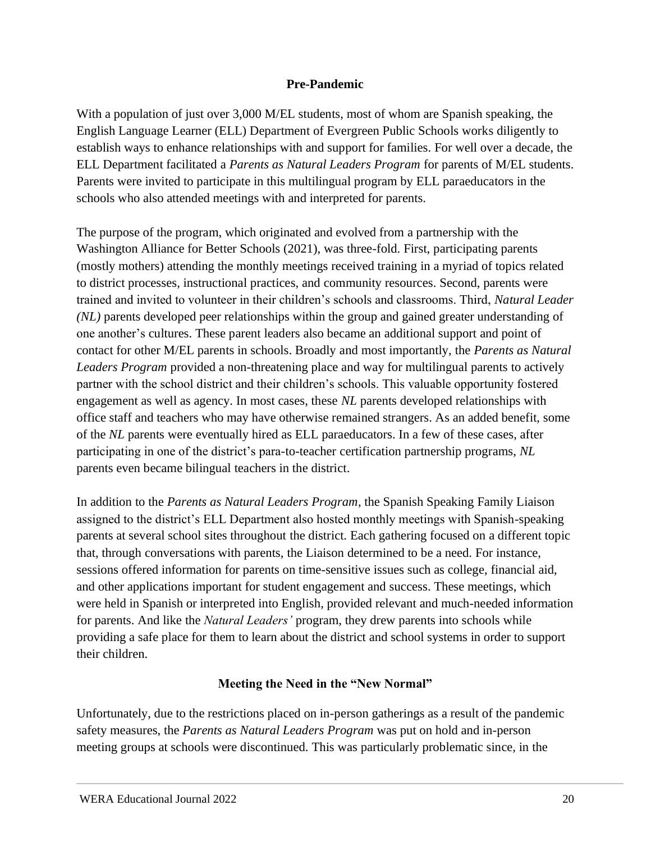# **Pre-Pandemic**

With a population of just over 3,000 M/EL students, most of whom are Spanish speaking, the English Language Learner (ELL) Department of Evergreen Public Schools works diligently to establish ways to enhance relationships with and support for families. For well over a decade, the ELL Department facilitated a *Parents as Natural Leaders Program* for parents of M/EL students. Parents were invited to participate in this multilingual program by ELL paraeducators in the schools who also attended meetings with and interpreted for parents.

The purpose of the program, which originated and evolved from a partnership with the Washington Alliance for Better Schools (2021), was three-fold. First, participating parents (mostly mothers) attending the monthly meetings received training in a myriad of topics related to district processes, instructional practices, and community resources. Second, parents were trained and invited to volunteer in their children's schools and classrooms. Third, *Natural Leader (NL)* parents developed peer relationships within the group and gained greater understanding of one another's cultures. These parent leaders also became an additional support and point of contact for other M/EL parents in schools. Broadly and most importantly, the *Parents as Natural Leaders Program* provided a non-threatening place and way for multilingual parents to actively partner with the school district and their children's schools. This valuable opportunity fostered engagement as well as agency. In most cases, these *NL* parents developed relationships with office staff and teachers who may have otherwise remained strangers. As an added benefit, some of the *NL* parents were eventually hired as ELL paraeducators. In a few of these cases, after participating in one of the district's para-to-teacher certification partnership programs, *NL* parents even became bilingual teachers in the district.

In addition to the *Parents as Natural Leaders Program*, the Spanish Speaking Family Liaison assigned to the district's ELL Department also hosted monthly meetings with Spanish-speaking parents at several school sites throughout the district. Each gathering focused on a different topic that, through conversations with parents, the Liaison determined to be a need. For instance, sessions offered information for parents on time-sensitive issues such as college, financial aid, and other applications important for student engagement and success. These meetings, which were held in Spanish or interpreted into English, provided relevant and much-needed information for parents. And like the *Natural Leaders'* program, they drew parents into schools while providing a safe place for them to learn about the district and school systems in order to support their children.

# **Meeting the Need in the "New Normal"**

Unfortunately, due to the restrictions placed on in-person gatherings as a result of the pandemic safety measures, the *Parents as Natural Leaders Program* was put on hold and in-person meeting groups at schools were discontinued. This was particularly problematic since, in the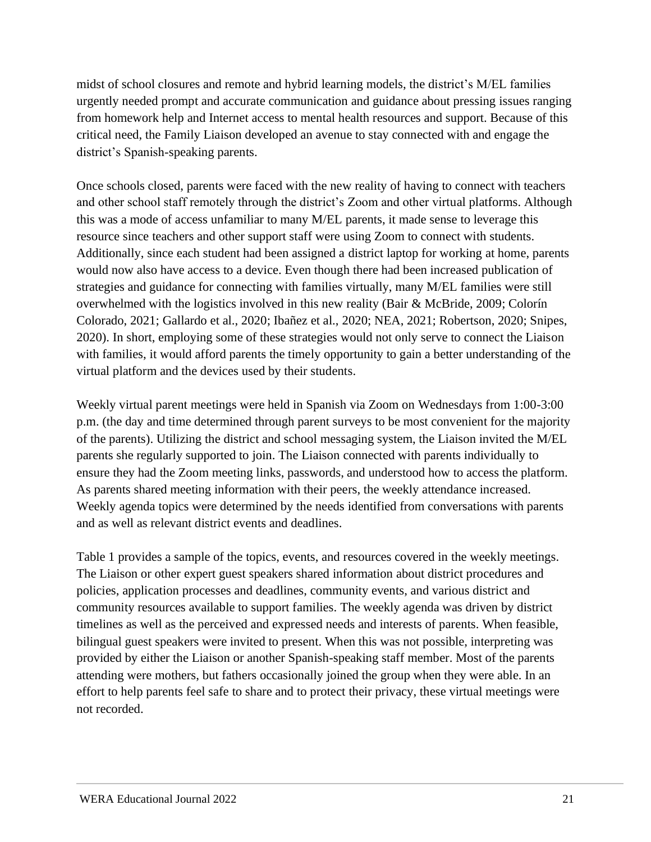midst of school closures and remote and hybrid learning models, the district's M/EL families urgently needed prompt and accurate communication and guidance about pressing issues ranging from homework help and Internet access to mental health resources and support. Because of this critical need, the Family Liaison developed an avenue to stay connected with and engage the district's Spanish-speaking parents.

Once schools closed, parents were faced with the new reality of having to connect with teachers and other school staff remotely through the district's Zoom and other virtual platforms. Although this was a mode of access unfamiliar to many M/EL parents, it made sense to leverage this resource since teachers and other support staff were using Zoom to connect with students. Additionally, since each student had been assigned a district laptop for working at home, parents would now also have access to a device. Even though there had been increased publication of strategies and guidance for connecting with families virtually, many M/EL families were still overwhelmed with the logistics involved in this new reality (Bair & McBride, 2009; Colorín Colorado, 2021; Gallardo et al., 2020; Ibañez et al., 2020; NEA, 2021; Robertson, 2020; Snipes, 2020). In short, employing some of these strategies would not only serve to connect the Liaison with families, it would afford parents the timely opportunity to gain a better understanding of the virtual platform and the devices used by their students.

Weekly virtual parent meetings were held in Spanish via Zoom on Wednesdays from 1:00-3:00 p.m. (the day and time determined through parent surveys to be most convenient for the majority of the parents). Utilizing the district and school messaging system, the Liaison invited the M/EL parents she regularly supported to join. The Liaison connected with parents individually to ensure they had the Zoom meeting links, passwords, and understood how to access the platform. As parents shared meeting information with their peers, the weekly attendance increased. Weekly agenda topics were determined by the needs identified from conversations with parents and as well as relevant district events and deadlines.

Table 1 provides a sample of the topics, events, and resources covered in the weekly meetings. The Liaison or other expert guest speakers shared information about district procedures and policies, application processes and deadlines, community events, and various district and community resources available to support families. The weekly agenda was driven by district timelines as well as the perceived and expressed needs and interests of parents. When feasible, bilingual guest speakers were invited to present. When this was not possible, interpreting was provided by either the Liaison or another Spanish-speaking staff member. Most of the parents attending were mothers, but fathers occasionally joined the group when they were able. In an effort to help parents feel safe to share and to protect their privacy, these virtual meetings were not recorded.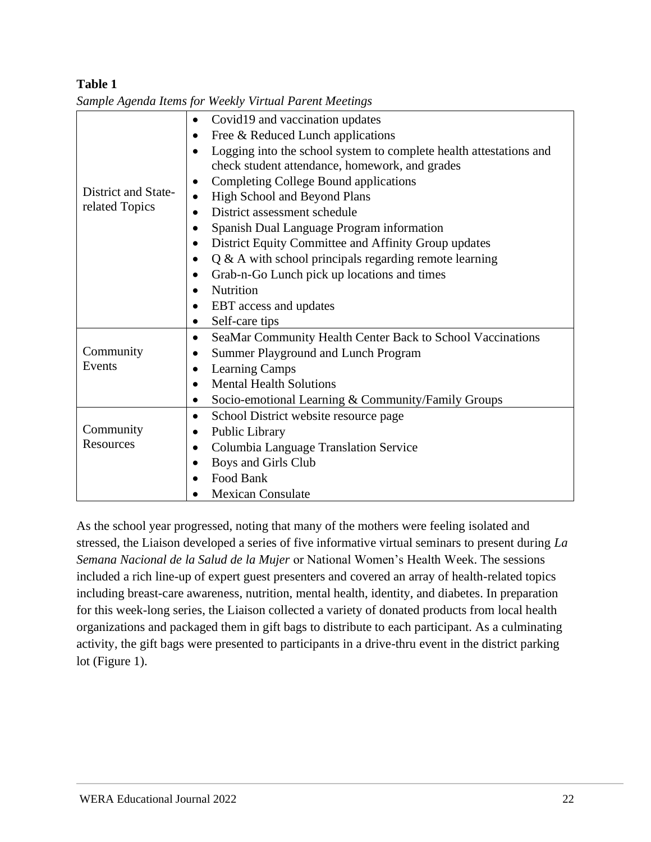# **Table 1**

|                                                  | Covid19 and vaccination updates<br>$\bullet$                            |  |  |
|--------------------------------------------------|-------------------------------------------------------------------------|--|--|
|                                                  | Free & Reduced Lunch applications                                       |  |  |
|                                                  | Logging into the school system to complete health attestations and      |  |  |
|                                                  | check student attendance, homework, and grades                          |  |  |
|                                                  | Completing College Bound applications<br>٠                              |  |  |
| District and State-                              | <b>High School and Beyond Plans</b><br>$\bullet$                        |  |  |
| related Topics                                   | District assessment schedule                                            |  |  |
|                                                  | Spanish Dual Language Program information<br>$\bullet$                  |  |  |
|                                                  | District Equity Committee and Affinity Group updates<br>$\bullet$       |  |  |
|                                                  | $Q & A$ with school principals regarding remote learning<br>$\bullet$   |  |  |
|                                                  | Grab-n-Go Lunch pick up locations and times<br>$\bullet$                |  |  |
|                                                  | Nutrition<br>$\bullet$                                                  |  |  |
| EBT access and updates<br>$\bullet$              |                                                                         |  |  |
|                                                  | Self-care tips                                                          |  |  |
|                                                  | SeaMar Community Health Center Back to School Vaccinations<br>$\bullet$ |  |  |
| Community<br>Summer Playground and Lunch Program |                                                                         |  |  |
| Events                                           | <b>Learning Camps</b><br>$\bullet$                                      |  |  |
|                                                  | <b>Mental Health Solutions</b><br>$\bullet$                             |  |  |
|                                                  | Socio-emotional Learning & Community/Family Groups                      |  |  |
|                                                  | School District website resource page<br>$\bullet$                      |  |  |
| Community                                        | Public Library                                                          |  |  |
| <b>Resources</b>                                 | Columbia Language Translation Service<br>$\bullet$                      |  |  |
|                                                  | Boys and Girls Club<br>$\bullet$                                        |  |  |
|                                                  | Food Bank<br>$\bullet$                                                  |  |  |
| <b>Mexican Consulate</b>                         |                                                                         |  |  |
|                                                  |                                                                         |  |  |

*Sample Agenda Items for Weekly Virtual Parent Meetings*

As the school year progressed, noting that many of the mothers were feeling isolated and stressed, the Liaison developed a series of five informative virtual seminars to present during *La Semana Nacional de la Salud de la Mujer* or National Women's Health Week. The sessions included a rich line-up of expert guest presenters and covered an array of health-related topics including breast-care awareness, nutrition, mental health, identity, and diabetes. In preparation for this week-long series, the Liaison collected a variety of donated products from local health organizations and packaged them in gift bags to distribute to each participant. As a culminating activity, the gift bags were presented to participants in a drive-thru event in the district parking lot (Figure 1).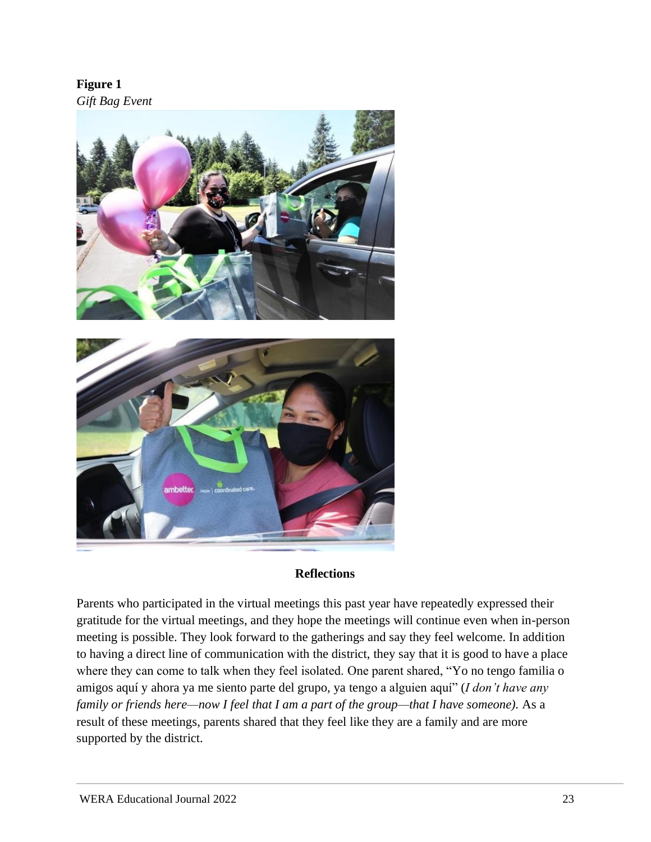**Figure 1**  *Gift Bag Event* 



#### **Reflections**

Parents who participated in the virtual meetings this past year have repeatedly expressed their gratitude for the virtual meetings, and they hope the meetings will continue even when in-person meeting is possible. They look forward to the gatherings and say they feel welcome. In addition to having a direct line of communication with the district, they say that it is good to have a place where they can come to talk when they feel isolated. One parent shared, "Yo no tengo familia o amigos aquí y ahora ya me siento parte del grupo, ya tengo a alguien aquí" (*I don't have any family or friends here—now I feel that I am a part of the group—that I have someone).* As a result of these meetings, parents shared that they feel like they are a family and are more supported by the district.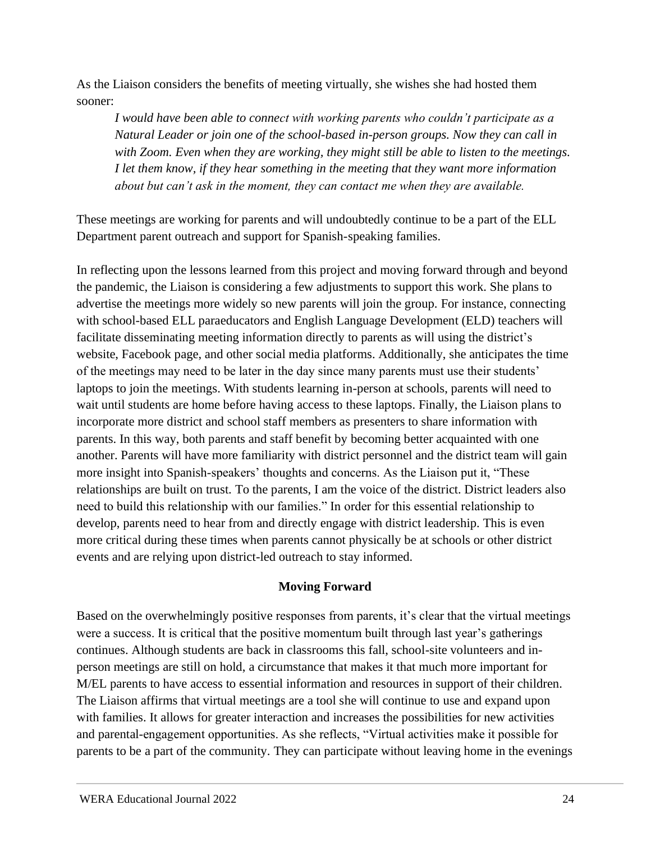As the Liaison considers the benefits of meeting virtually, she wishes she had hosted them sooner:

*I would have been able to connect with working parents who couldn't participate as a Natural Leader or join one of the school-based in-person groups. Now they can call in with Zoom. Even when they are working, they might still be able to listen to the meetings. I let them know, if they hear something in the meeting that they want more information about but can't ask in the moment, they can contact me when they are available.*

These meetings are working for parents and will undoubtedly continue to be a part of the ELL Department parent outreach and support for Spanish-speaking families.

In reflecting upon the lessons learned from this project and moving forward through and beyond the pandemic, the Liaison is considering a few adjustments to support this work. She plans to advertise the meetings more widely so new parents will join the group. For instance, connecting with school-based ELL paraeducators and English Language Development (ELD) teachers will facilitate disseminating meeting information directly to parents as will using the district's website, Facebook page, and other social media platforms. Additionally, she anticipates the time of the meetings may need to be later in the day since many parents must use their students' laptops to join the meetings. With students learning in-person at schools, parents will need to wait until students are home before having access to these laptops. Finally, the Liaison plans to incorporate more district and school staff members as presenters to share information with parents. In this way, both parents and staff benefit by becoming better acquainted with one another. Parents will have more familiarity with district personnel and the district team will gain more insight into Spanish-speakers' thoughts and concerns. As the Liaison put it, "These relationships are built on trust. To the parents, I am the voice of the district. District leaders also need to build this relationship with our families." In order for this essential relationship to develop, parents need to hear from and directly engage with district leadership. This is even more critical during these times when parents cannot physically be at schools or other district events and are relying upon district-led outreach to stay informed.

# **Moving Forward**

Based on the overwhelmingly positive responses from parents, it's clear that the virtual meetings were a success. It is critical that the positive momentum built through last year's gatherings continues. Although students are back in classrooms this fall, school-site volunteers and inperson meetings are still on hold, a circumstance that makes it that much more important for M/EL parents to have access to essential information and resources in support of their children. The Liaison affirms that virtual meetings are a tool she will continue to use and expand upon with families. It allows for greater interaction and increases the possibilities for new activities and parental-engagement opportunities. As she reflects, "Virtual activities make it possible for parents to be a part of the community. They can participate without leaving home in the evenings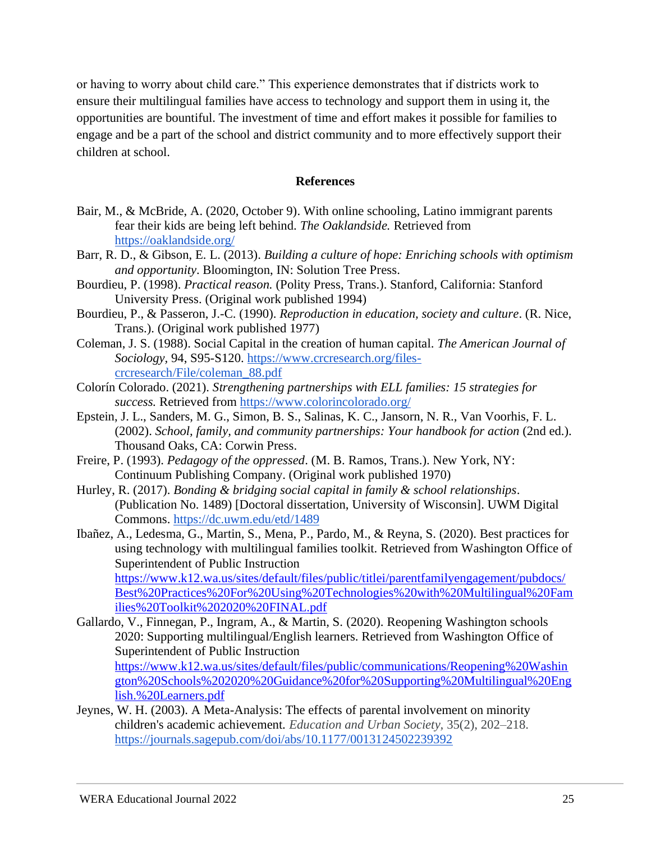or having to worry about child care." This experience demonstrates that if districts work to ensure their multilingual families have access to technology and support them in using it, the opportunities are bountiful. The investment of time and effort makes it possible for families to engage and be a part of the school and district community and to more effectively support their children at school.

#### **References**

- Bair, M., & McBride, A. (2020, October 9). With online schooling, Latino immigrant parents fear their kids are being left behind. *The Oaklandside.* Retrieved from <https://oaklandside.org/>
- Barr, R. D., & Gibson, E. L. (2013). *Building a culture of hope: Enriching schools with optimism and opportunity*. Bloomington, IN: Solution Tree Press.
- Bourdieu, P. (1998). *Practical reason.* (Polity Press, Trans.). Stanford, California: Stanford University Press. (Original work published 1994)
- Bourdieu, P., & Passeron, J.-C. (1990). *Reproduction in education, society and culture*. (R. Nice, Trans.). (Original work published 1977)
- Coleman, J. S. (1988). Social Capital in the creation of human capital. *The American Journal of Sociology,* 94, S95-S120. [https://www.crcresearch.org/files](https://www.crcresearch.org/files-crcresearch/File/coleman_88.pdf)[crcresearch/File/coleman\\_88.pdf](https://www.crcresearch.org/files-crcresearch/File/coleman_88.pdf)
- Colorín Colorado. (2021). *Strengthening partnerships with ELL families: 15 strategies for success.* Retrieved from<https://www.colorincolorado.org/>
- Epstein, J. L., Sanders, M. G., Simon, B. S., Salinas, K. C., Jansorn, N. R., Van Voorhis, F. L. (2002). *School, family, and community partnerships: Your handbook for action* (2nd ed.). Thousand Oaks, CA: Corwin Press.
- Freire, P. (1993). *Pedagogy of the oppressed*. (M. B. Ramos, Trans.). New York, NY: Continuum Publishing Company. (Original work published 1970)
- Hurley, R. (2017). *Bonding & bridging social capital in family & school relationships*. (Publication No. 1489) [Doctoral dissertation, University of Wisconsin]. UWM Digital Commons.<https://dc.uwm.edu/etd/1489>
- Ibañez, A., Ledesma, G., Martin, S., Mena, P., Pardo, M., & Reyna, S. (2020). Best practices for using technology with multilingual families toolkit. Retrieved from Washington Office of Superintendent of Public Instruction [https://www.k12.wa.us/sites/default/files/public/titlei/parentfamilyengagement/pubdocs/](https://www.k12.wa.us/sites/default/files/public/titlei/parentfamilyengagement/pubdocs/Best%20Practices%20For%20Using%20Technologies%20with%20Multilingual%20Families%20Toolkit%202020%20FINAL.pdf) [Best%20Practices%20For%20Using%20Technologies%20with%20Multilingual%20Fam](https://www.k12.wa.us/sites/default/files/public/titlei/parentfamilyengagement/pubdocs/Best%20Practices%20For%20Using%20Technologies%20with%20Multilingual%20Families%20Toolkit%202020%20FINAL.pdf) [ilies%20Toolkit%202020%20FINAL.pdf](https://www.k12.wa.us/sites/default/files/public/titlei/parentfamilyengagement/pubdocs/Best%20Practices%20For%20Using%20Technologies%20with%20Multilingual%20Families%20Toolkit%202020%20FINAL.pdf)
- Gallardo, V., Finnegan, P., Ingram, A., & Martin, S. (2020). Reopening Washington schools 2020: Supporting multilingual/English learners. Retrieved from Washington Office of Superintendent of Public Instruction [https://www.k12.wa.us/sites/default/files/public/communications/Reopening%20Washin](https://www.k12.wa.us/sites/default/files/public/communications/Reopening%20Washington%20Schools%202020%20Guidance%20for%20Supporting%20Multilingual%20English.%20Learners.pdf) [gton%20Schools%202020%20Guidance%20for%20Supporting%20Multilingual%20Eng](https://www.k12.wa.us/sites/default/files/public/communications/Reopening%20Washington%20Schools%202020%20Guidance%20for%20Supporting%20Multilingual%20English.%20Learners.pdf)
- Jeynes, W. H. (2003). A Meta-Analysis: The effects of parental involvement on minority children's academic achievement. *Education and Urban Society,* 35(2), 202–218. <https://journals.sagepub.com/doi/abs/10.1177/0013124502239392>

[lish.%20Learners.pdf](https://www.k12.wa.us/sites/default/files/public/communications/Reopening%20Washington%20Schools%202020%20Guidance%20for%20Supporting%20Multilingual%20English.%20Learners.pdf)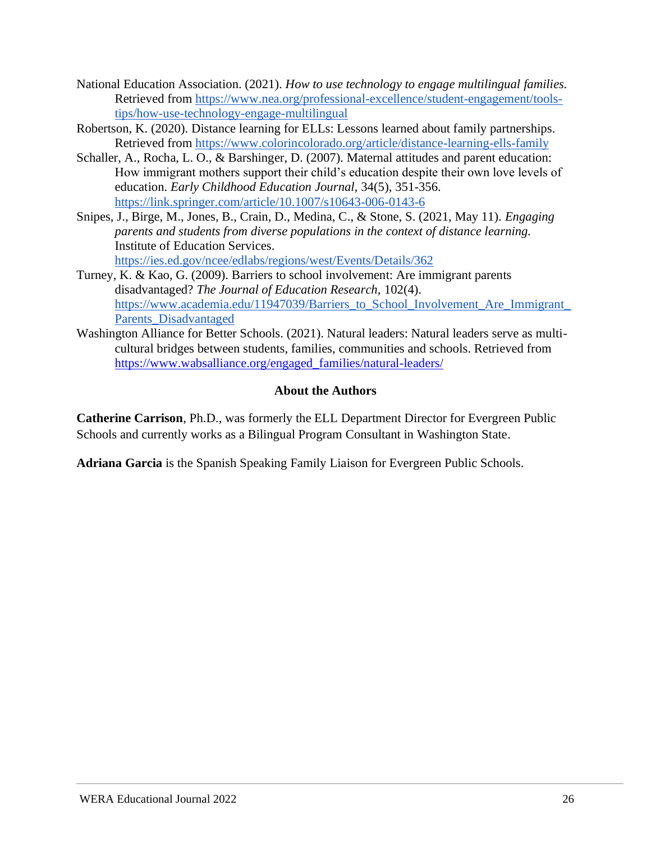- National Education Association. (2021). *How to use technology to engage multilingual families.* Retrieved from [https://www.nea.org/professional-excellence/student-engagement/tools](https://www.nea.org/professional-excellence/student-engagement/tools-tips/how-use-technology-engage-multilingual)[tips/how-use-technology-engage-multilingual](https://www.nea.org/professional-excellence/student-engagement/tools-tips/how-use-technology-engage-multilingual)
- Robertson, K. (2020). Distance learning for ELLs: Lessons learned about family partnerships. Retrieved from<https://www.colorincolorado.org/article/distance-learning-ells-family>
- Schaller, A., Rocha, L. O., & Barshinger, D. (2007). Maternal attitudes and parent education: How immigrant mothers support their child's education despite their own love levels of education. *Early Childhood Education Journal,* 34(5), 351-356. <https://link.springer.com/article/10.1007/s10643-006-0143-6>
- Snipes, J., Birge, M., Jones, B., Crain, D., Medina, C., & Stone, S. (2021, May 11). *Engaging parents and students from diverse populations in the context of distance learning.*  Institute of Education Services. <https://ies.ed.gov/ncee/edlabs/regions/west/Events/Details/362>
- Turney, K. & Kao, G. (2009). Barriers to school involvement: Are immigrant parents disadvantaged? *The Journal of Education Research,* 102(4). https://www.academia.edu/11947039/Barriers to School Involvement Are Immigrant Parents Disadvantaged
- Washington Alliance for Better Schools. (2021). Natural leaders: Natural leaders serve as multicultural bridges between students, families, communities and schools. Retrieved from [https://www.wabsalliance.org/engaged\\_families/natural-leaders/](https://www.wabsalliance.org/engaged_families/natural-leaders/)

# **About the Authors**

**Catherine Carrison**, Ph.D., was formerly the ELL Department Director for Evergreen Public Schools and currently works as a Bilingual Program Consultant in Washington State.

**Adriana Garcia** is the Spanish Speaking Family Liaison for Evergreen Public Schools.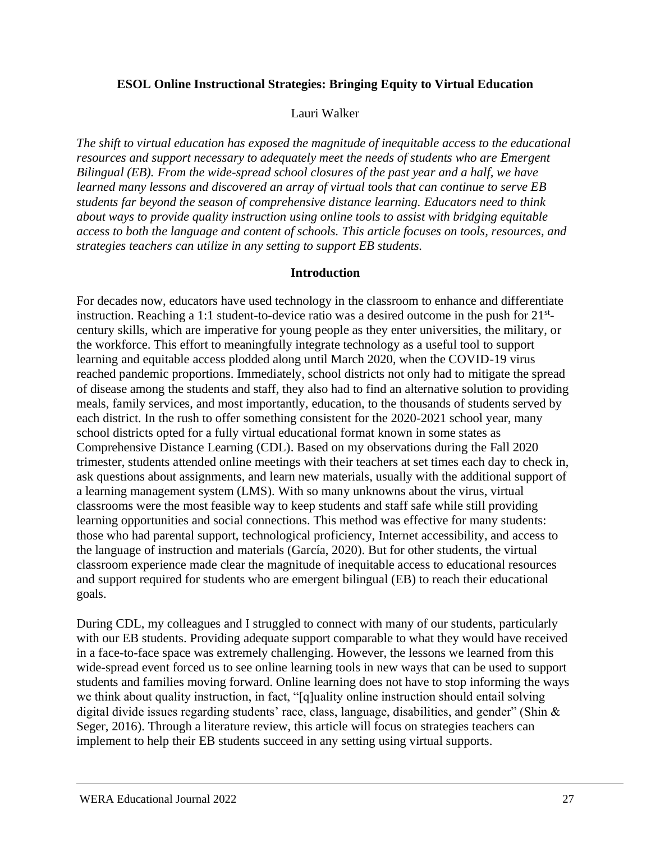# <span id="page-26-0"></span>**ESOL Online Instructional Strategies: Bringing Equity to Virtual Education**

#### Lauri Walker

*The shift to virtual education has exposed the magnitude of inequitable access to the educational resources and support necessary to adequately meet the needs of students who are Emergent Bilingual (EB). From the wide-spread school closures of the past year and a half, we have learned many lessons and discovered an array of virtual tools that can continue to serve EB students far beyond the season of comprehensive distance learning. Educators need to think about ways to provide quality instruction using online tools to assist with bridging equitable access to both the language and content of schools. This article focuses on tools, resources, and strategies teachers can utilize in any setting to support EB students.*

#### **Introduction**

For decades now, educators have used technology in the classroom to enhance and differentiate instruction. Reaching a 1:1 student-to-device ratio was a desired outcome in the push for  $21^{st}$ century skills, which are imperative for young people as they enter universities, the military, or the workforce. This effort to meaningfully integrate technology as a useful tool to support learning and equitable access plodded along until March 2020, when the COVID-19 virus reached pandemic proportions. Immediately, school districts not only had to mitigate the spread of disease among the students and staff, they also had to find an alternative solution to providing meals, family services, and most importantly, education, to the thousands of students served by each district. In the rush to offer something consistent for the 2020-2021 school year, many school districts opted for a fully virtual educational format known in some states as Comprehensive Distance Learning (CDL). Based on my observations during the Fall 2020 trimester, students attended online meetings with their teachers at set times each day to check in, ask questions about assignments, and learn new materials, usually with the additional support of a learning management system (LMS). With so many unknowns about the virus, virtual classrooms were the most feasible way to keep students and staff safe while still providing learning opportunities and social connections. This method was effective for many students: those who had parental support, technological proficiency, Internet accessibility, and access to the language of instruction and materials (García, 2020). But for other students, the virtual classroom experience made clear the magnitude of inequitable access to educational resources and support required for students who are emergent bilingual (EB) to reach their educational goals.

During CDL, my colleagues and I struggled to connect with many of our students, particularly with our EB students. Providing adequate support comparable to what they would have received in a face-to-face space was extremely challenging. However, the lessons we learned from this wide-spread event forced us to see online learning tools in new ways that can be used to support students and families moving forward. Online learning does not have to stop informing the ways we think about quality instruction, in fact, "[q]uality online instruction should entail solving digital divide issues regarding students' race, class, language, disabilities, and gender" (Shin & Seger, 2016). Through a literature review, this article will focus on strategies teachers can implement to help their EB students succeed in any setting using virtual supports.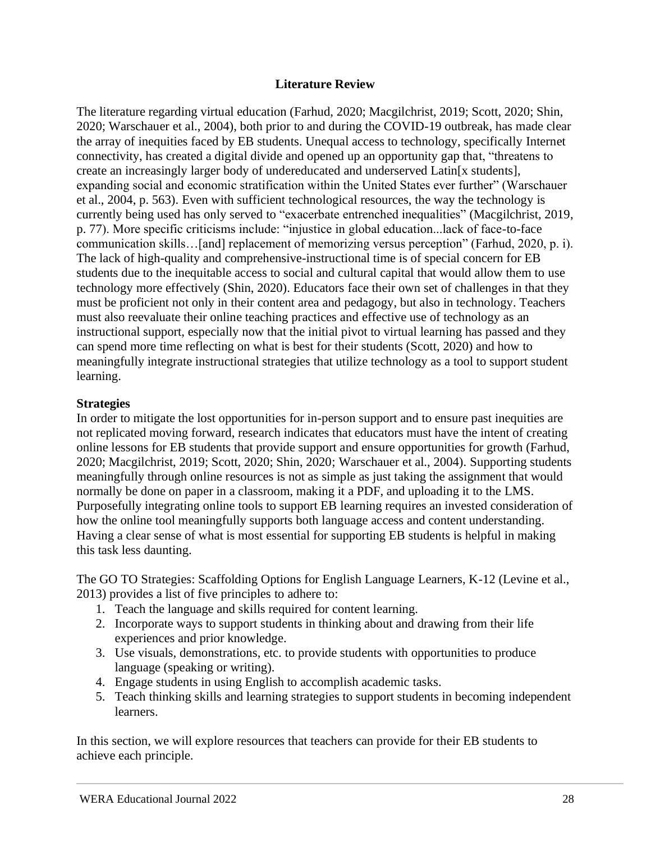#### **Literature Review**

The literature regarding virtual education (Farhud, 2020; Macgilchrist, 2019; Scott, 2020; Shin, 2020; Warschauer et al., 2004), both prior to and during the COVID-19 outbreak, has made clear the array of inequities faced by EB students. Unequal access to technology, specifically Internet connectivity, has created a digital divide and opened up an opportunity gap that, "threatens to create an increasingly larger body of undereducated and underserved Latin[x students], expanding social and economic stratification within the United States ever further" (Warschauer et al., 2004, p. 563). Even with sufficient technological resources, the way the technology is currently being used has only served to "exacerbate entrenched inequalities" (Macgilchrist, 2019, p. 77). More specific criticisms include: "injustice in global education...lack of face-to-face communication skills…[and] replacement of memorizing versus perception" (Farhud, 2020, p. i). The lack of high-quality and comprehensive-instructional time is of special concern for EB students due to the inequitable access to social and cultural capital that would allow them to use technology more effectively (Shin, 2020). Educators face their own set of challenges in that they must be proficient not only in their content area and pedagogy, but also in technology. Teachers must also reevaluate their online teaching practices and effective use of technology as an instructional support, especially now that the initial pivot to virtual learning has passed and they can spend more time reflecting on what is best for their students (Scott, 2020) and how to meaningfully integrate instructional strategies that utilize technology as a tool to support student learning.

#### **Strategies**

In order to mitigate the lost opportunities for in-person support and to ensure past inequities are not replicated moving forward, research indicates that educators must have the intent of creating online lessons for EB students that provide support and ensure opportunities for growth (Farhud, 2020; Macgilchrist, 2019; Scott, 2020; Shin, 2020; Warschauer et al., 2004). Supporting students meaningfully through online resources is not as simple as just taking the assignment that would normally be done on paper in a classroom, making it a PDF, and uploading it to the LMS. Purposefully integrating online tools to support EB learning requires an invested consideration of how the online tool meaningfully supports both language access and content understanding. Having a clear sense of what is most essential for supporting EB students is helpful in making this task less daunting.

The GO TO Strategies: Scaffolding Options for English Language Learners, K-12 (Levine et al., 2013) provides a list of five principles to adhere to:

- 1. Teach the language and skills required for content learning.
- 2. Incorporate ways to support students in thinking about and drawing from their life experiences and prior knowledge.
- 3. Use visuals, demonstrations, etc. to provide students with opportunities to produce language (speaking or writing).
- 4. Engage students in using English to accomplish academic tasks.
- 5. Teach thinking skills and learning strategies to support students in becoming independent learners.

In this section, we will explore resources that teachers can provide for their EB students to achieve each principle.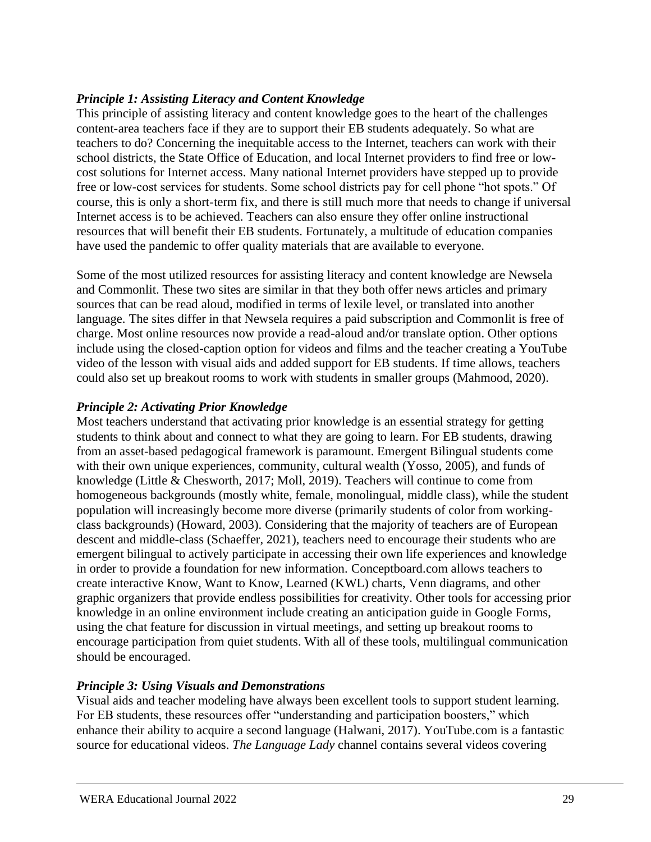# *Principle 1: Assisting Literacy and Content Knowledge*

This principle of assisting literacy and content knowledge goes to the heart of the challenges content-area teachers face if they are to support their EB students adequately. So what are teachers to do? Concerning the inequitable access to the Internet, teachers can work with their school districts, the State Office of Education, and local Internet providers to find free or lowcost solutions for Internet access. Many national Internet providers have stepped up to provide free or low-cost services for students. Some school districts pay for cell phone "hot spots." Of course, this is only a short-term fix, and there is still much more that needs to change if universal Internet access is to be achieved. Teachers can also ensure they offer online instructional resources that will benefit their EB students. Fortunately, a multitude of education companies have used the pandemic to offer quality materials that are available to everyone.

Some of the most utilized resources for assisting literacy and content knowledge are Newsela and Commonlit. These two sites are similar in that they both offer news articles and primary sources that can be read aloud, modified in terms of lexile level, or translated into another language. The sites differ in that Newsela requires a paid subscription and Commonlit is free of charge. Most online resources now provide a read-aloud and/or translate option. Other options include using the closed-caption option for videos and films and the teacher creating a YouTube video of the lesson with visual aids and added support for EB students. If time allows, teachers could also set up breakout rooms to work with students in smaller groups (Mahmood, 2020).

# *Principle 2: Activating Prior Knowledge*

Most teachers understand that activating prior knowledge is an essential strategy for getting students to think about and connect to what they are going to learn. For EB students, drawing from an asset-based pedagogical framework is paramount. Emergent Bilingual students come with their own unique experiences, community, cultural wealth (Yosso, 2005), and funds of knowledge (Little & Chesworth, 2017; Moll, 2019). Teachers will continue to come from homogeneous backgrounds (mostly white, female, monolingual, middle class), while the student population will increasingly become more diverse (primarily students of color from workingclass backgrounds) (Howard, 2003). Considering that the majority of teachers are of European descent and middle-class (Schaeffer, 2021), teachers need to encourage their students who are emergent bilingual to actively participate in accessing their own life experiences and knowledge in order to provide a foundation for new information. Conceptboard.com allows teachers to create interactive Know, Want to Know, Learned (KWL) charts, Venn diagrams, and other graphic organizers that provide endless possibilities for creativity. Other tools for accessing prior knowledge in an online environment include creating an anticipation guide in Google Forms, using the chat feature for discussion in virtual meetings, and setting up breakout rooms to encourage participation from quiet students. With all of these tools, multilingual communication should be encouraged.

# *Principle 3: Using Visuals and Demonstrations*

Visual aids and teacher modeling have always been excellent tools to support student learning. For EB students, these resources offer "understanding and participation boosters," which enhance their ability to acquire a second language (Halwani, 2017). YouTube.com is a fantastic source for educational videos. *The Language Lady* channel contains several videos covering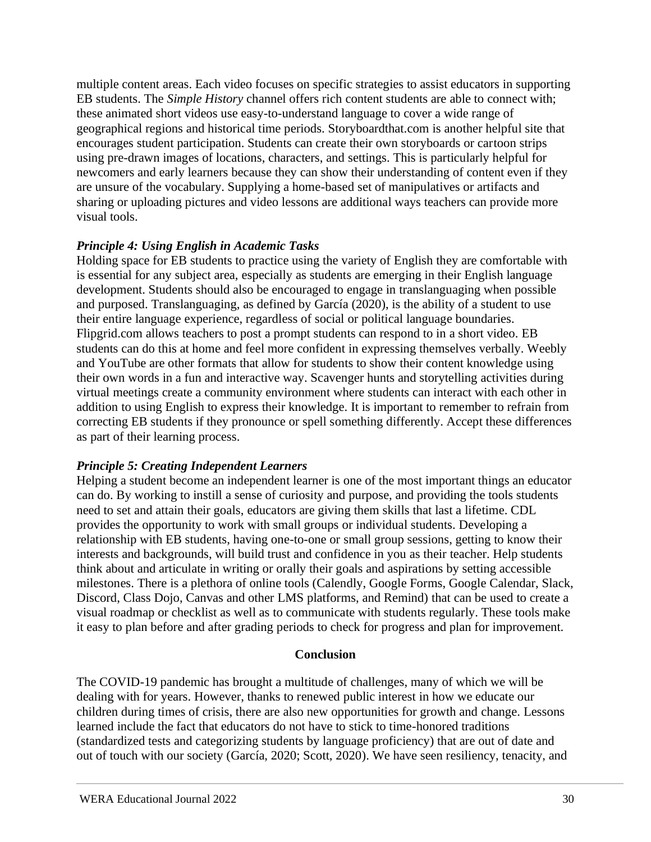multiple content areas. Each video focuses on specific strategies to assist educators in supporting EB students. The *Simple History* channel offers rich content students are able to connect with; these animated short videos use easy-to-understand language to cover a wide range of geographical regions and historical time periods. Storyboardthat.com is another helpful site that encourages student participation. Students can create their own storyboards or cartoon strips using pre-drawn images of locations, characters, and settings. This is particularly helpful for newcomers and early learners because they can show their understanding of content even if they are unsure of the vocabulary. Supplying a home-based set of manipulatives or artifacts and sharing or uploading pictures and video lessons are additional ways teachers can provide more visual tools.

# *Principle 4: Using English in Academic Tasks*

Holding space for EB students to practice using the variety of English they are comfortable with is essential for any subject area, especially as students are emerging in their English language development. Students should also be encouraged to engage in translanguaging when possible and purposed. Translanguaging, as defined by García (2020), is the ability of a student to use their entire language experience, regardless of social or political language boundaries. Flipgrid.com allows teachers to post a prompt students can respond to in a short video. EB students can do this at home and feel more confident in expressing themselves verbally. Weebly and YouTube are other formats that allow for students to show their content knowledge using their own words in a fun and interactive way. Scavenger hunts and storytelling activities during virtual meetings create a community environment where students can interact with each other in addition to using English to express their knowledge. It is important to remember to refrain from correcting EB students if they pronounce or spell something differently. Accept these differences as part of their learning process.

# *Principle 5: Creating Independent Learners*

Helping a student become an independent learner is one of the most important things an educator can do. By working to instill a sense of curiosity and purpose, and providing the tools students need to set and attain their goals, educators are giving them skills that last a lifetime. CDL provides the opportunity to work with small groups or individual students. Developing a relationship with EB students, having one-to-one or small group sessions, getting to know their interests and backgrounds, will build trust and confidence in you as their teacher. Help students think about and articulate in writing or orally their goals and aspirations by setting accessible milestones. There is a plethora of online tools (Calendly, Google Forms, Google Calendar, Slack, Discord, Class Dojo, Canvas and other LMS platforms, and Remind) that can be used to create a visual roadmap or checklist as well as to communicate with students regularly. These tools make it easy to plan before and after grading periods to check for progress and plan for improvement.

# **Conclusion**

The COVID-19 pandemic has brought a multitude of challenges, many of which we will be dealing with for years. However, thanks to renewed public interest in how we educate our children during times of crisis, there are also new opportunities for growth and change. Lessons learned include the fact that educators do not have to stick to time-honored traditions (standardized tests and categorizing students by language proficiency) that are out of date and out of touch with our society (García, 2020; Scott, 2020). We have seen resiliency, tenacity, and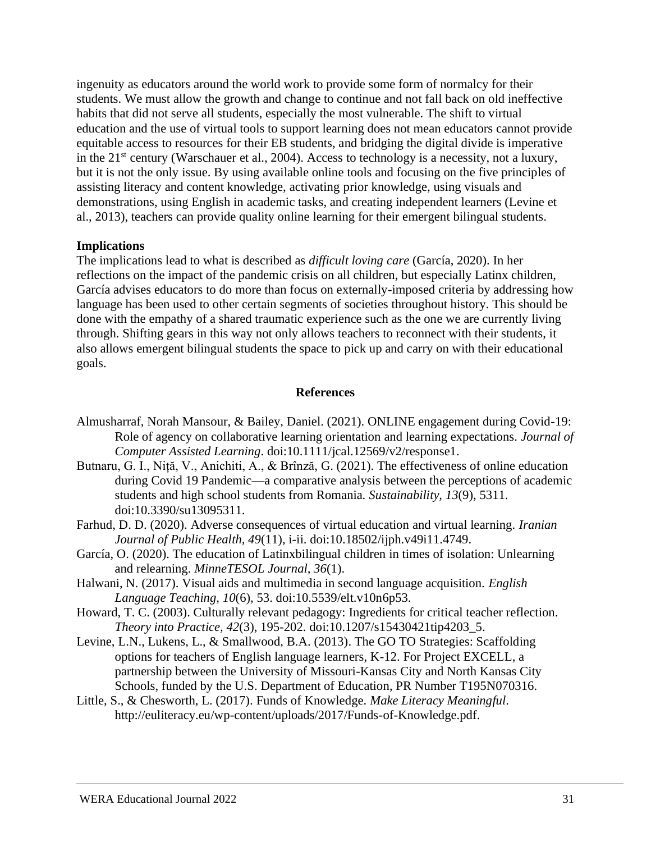ingenuity as educators around the world work to provide some form of normalcy for their students. We must allow the growth and change to continue and not fall back on old ineffective habits that did not serve all students, especially the most vulnerable. The shift to virtual education and the use of virtual tools to support learning does not mean educators cannot provide equitable access to resources for their EB students, and bridging the digital divide is imperative in the 21<sup>st</sup> century (Warschauer et al., 2004). Access to technology is a necessity, not a luxury, but it is not the only issue. By using available online tools and focusing on the five principles of assisting literacy and content knowledge, activating prior knowledge, using visuals and demonstrations, using English in academic tasks, and creating independent learners (Levine et al., 2013), teachers can provide quality online learning for their emergent bilingual students.

#### **Implications**

The implications lead to what is described as *difficult loving care* (García, 2020). In her reflections on the impact of the pandemic crisis on all children, but especially Latinx children, García advises educators to do more than focus on externally-imposed criteria by addressing how language has been used to other certain segments of societies throughout history. This should be done with the empathy of a shared traumatic experience such as the one we are currently living through. Shifting gears in this way not only allows teachers to reconnect with their students, it also allows emergent bilingual students the space to pick up and carry on with their educational goals.

#### **References**

- Almusharraf, Norah Mansour, & Bailey, Daniel. (2021). ONLINE engagement during Covid-19: Role of agency on collaborative learning orientation and learning expectations. *Journal of Computer Assisted Learning*. doi:10.1111/jcal.12569/v2/response1.
- Butnaru, G. I., Niță, V., Anichiti, A., & Brînză, G. (2021). The effectiveness of online education during Covid 19 Pandemic—a comparative analysis between the perceptions of academic students and high school students from Romania. *Sustainability, 13*(9), 5311. doi:10.3390/su13095311.
- Farhud, D. D. (2020). Adverse consequences of virtual education and virtual learning. *Iranian Journal of Public Health, 49*(11), i-ii. doi:10.18502/ijph.v49i11.4749.
- García, O. (2020). The education of Latinxbilingual children in times of isolation: Unlearning and relearning. *MinneTESOL Journal, 36*(1).
- Halwani, N. (2017). Visual aids and multimedia in second language acquisition. *English Language Teaching, 10*(6), 53. doi:10.5539/elt.v10n6p53.
- Howard, T. C. (2003). Culturally relevant pedagogy: Ingredients for critical teacher reflection. *Theory into Practice, 42*(3), 195-202. doi:10.1207/s15430421tip4203\_5.
- Levine, L.N., Lukens, L., & Smallwood, B.A. (2013). The GO TO Strategies: Scaffolding options for teachers of English language learners, K-12. For Project EXCELL, a partnership between the University of Missouri-Kansas City and North Kansas City Schools, funded by the U.S. Department of Education, PR Number T195N070316.
- Little, S., & Chesworth, L. (2017). Funds of Knowledge. *Make Literacy Meaningful*. http://euliteracy.eu/wp-content/uploads/2017/Funds-of-Knowledge.pdf.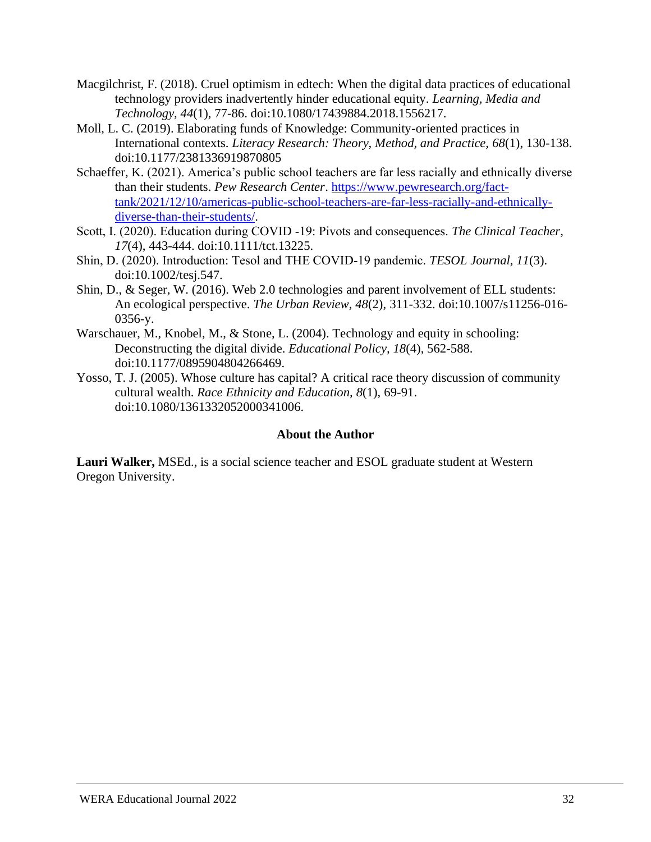- Macgilchrist, F. (2018). Cruel optimism in edtech: When the digital data practices of educational technology providers inadvertently hinder educational equity. *Learning, Media and Technology, 44*(1), 77-86. doi:10.1080/17439884.2018.1556217.
- Moll, L. C. (2019). Elaborating funds of Knowledge: Community-oriented practices in International contexts. *Literacy Research: Theory, Method, and Practice, 68*(1), 130-138. doi:10.1177/2381336919870805
- Schaeffer, K. (2021). America's public school teachers are far less racially and ethnically diverse than their students. *Pew Research Center*. [https://www.pewresearch.org/fact](https://www.pewresearch.org/fact-tank/2021/12/10/americas-public-school-teachers-are-far-less-racially-and-ethnically-diverse-than-their-students/)[tank/2021/12/10/americas-public-school-teachers-are-far-less-racially-and-ethnically](https://www.pewresearch.org/fact-tank/2021/12/10/americas-public-school-teachers-are-far-less-racially-and-ethnically-diverse-than-their-students/)[diverse-than-their-students/.](https://www.pewresearch.org/fact-tank/2021/12/10/americas-public-school-teachers-are-far-less-racially-and-ethnically-diverse-than-their-students/)
- Scott, I. (2020). Education during COVID ‐19: Pivots and consequences. *The Clinical Teacher, 17*(4), 443-444. doi:10.1111/tct.13225.
- Shin, D. (2020). Introduction: Tesol and THE COVID‐19 pandemic. *TESOL Journal, 11*(3). doi:10.1002/tesj.547.
- Shin, D., & Seger, W. (2016). Web 2.0 technologies and parent involvement of ELL students: An ecological perspective. *The Urban Review, 48*(2), 311-332. doi:10.1007/s11256-016- 0356-y.
- Warschauer, M., Knobel, M., & Stone, L. (2004). Technology and equity in schooling: Deconstructing the digital divide. *Educational Policy, 18*(4), 562-588. doi:10.1177/0895904804266469.
- Yosso, T. J. (2005). Whose culture has capital? A critical race theory discussion of community cultural wealth. *Race Ethnicity and Education, 8*(1), 69-91. doi:10.1080/1361332052000341006.

# **About the Author**

**Lauri Walker,** MSEd., is a social science teacher and ESOL graduate student at Western Oregon University.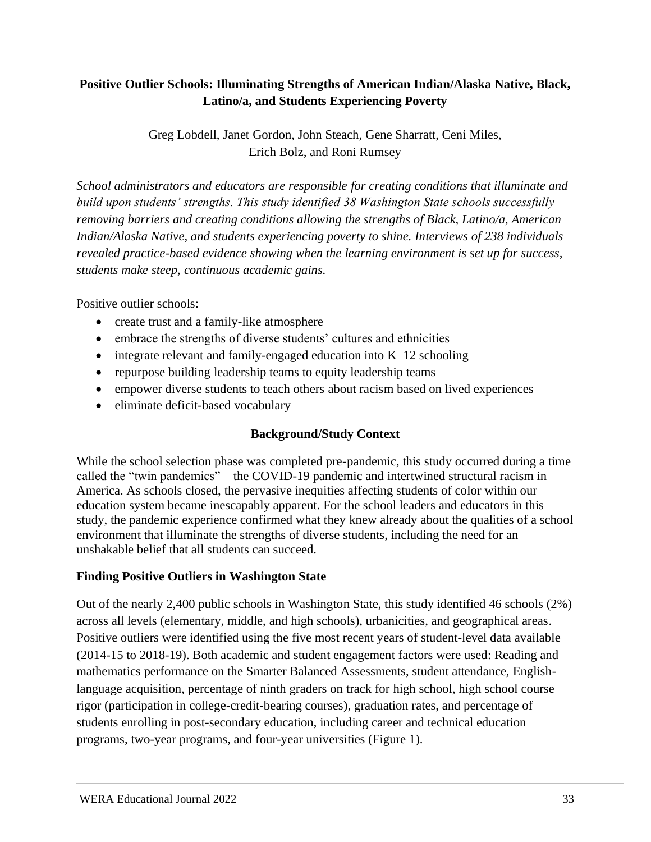# <span id="page-32-0"></span>**Positive Outlier Schools: Illuminating Strengths of American Indian/Alaska Native, Black, Latino/a, and Students Experiencing Poverty**

Greg Lobdell, Janet Gordon, John Steach, Gene Sharratt, Ceni Miles, Erich Bolz, and Roni Rumsey

*School administrators and educators are responsible for creating conditions that illuminate and build upon students' strengths. This study identified 38 Washington State schools successfully removing barriers and creating conditions allowing the strengths of Black, Latino/a, American Indian/Alaska Native, and students experiencing poverty to shine. Interviews of 238 individuals revealed practice-based evidence showing when the learning environment is set up for success, students make steep, continuous academic gains.* 

Positive outlier schools:

- create trust and a family-like atmosphere
- embrace the strengths of diverse students' cultures and ethnicities
- integrate relevant and family-engaged education into  $K-12$  schooling
- repurpose building leadership teams to equity leadership teams
- empower diverse students to teach others about racism based on lived experiences
- eliminate deficit-based vocabulary

# **Background/Study Context**

While the school selection phase was completed pre-pandemic, this study occurred during a time called the "twin pandemics"—the COVID-19 pandemic and intertwined structural racism in America. As schools closed, the pervasive inequities affecting students of color within our education system became inescapably apparent. For the school leaders and educators in this study, the pandemic experience confirmed what they knew already about the qualities of a school environment that illuminate the strengths of diverse students, including the need for an unshakable belief that all students can succeed.

# **Finding Positive Outliers in Washington State**

Out of the nearly 2,400 public schools in Washington State, this study identified 46 schools (2%) across all levels (elementary, middle, and high schools), urbanicities, and geographical areas. Positive outliers were identified using the five most recent years of student-level data available (2014-15 to 2018-19). Both academic and student engagement factors were used: Reading and mathematics performance on the Smarter Balanced Assessments, student attendance, Englishlanguage acquisition, percentage of ninth graders on track for high school, high school course rigor (participation in college-credit-bearing courses), graduation rates, and percentage of students enrolling in post-secondary education, including career and technical education programs, two-year programs, and four-year universities (Figure 1).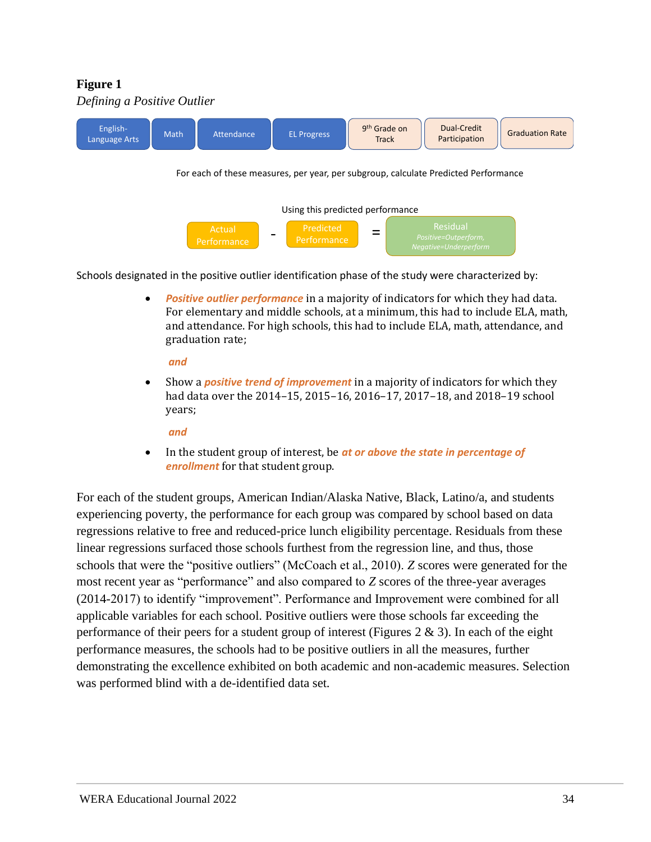# **Figure 1**



Schools designated in the positive outlier identification phase of the study were characterized by:

• *Positive outlier performance* in a majority of indicators for which they had data. For elementary and middle schools, at a minimum, this had to include ELA, math, and attendance. For high schools, this had to include ELA, math, attendance, and graduation rate;

#### *and*

• Show a *positive trend of improvement* in a majority of indicators for which they had data over the 2014–15, 2015–16, 2016–17, 2017–18, and 2018–19 school years;

#### *and*

• In the student group of interest, be *at or above the state in percentage of enrollment* for that student group.

For each of the student groups, American Indian/Alaska Native, Black, Latino/a, and students experiencing poverty, the performance for each group was compared by school based on data regressions relative to free and reduced-price lunch eligibility percentage. Residuals from these linear regressions surfaced those schools furthest from the regression line, and thus, those schools that were the "positive outliers" (McCoach et al., 2010). *Z* scores were generated for the most recent year as "performance" and also compared to *Z* scores of the three-year averages (2014-2017) to identify "improvement". Performance and Improvement were combined for all applicable variables for each school. Positive outliers were those schools far exceeding the performance of their peers for a student group of interest (Figures  $2 \& 3$ ). In each of the eight performance measures, the schools had to be positive outliers in all the measures, further demonstrating the excellence exhibited on both academic and non-academic measures. Selection was performed blind with a de-identified data set.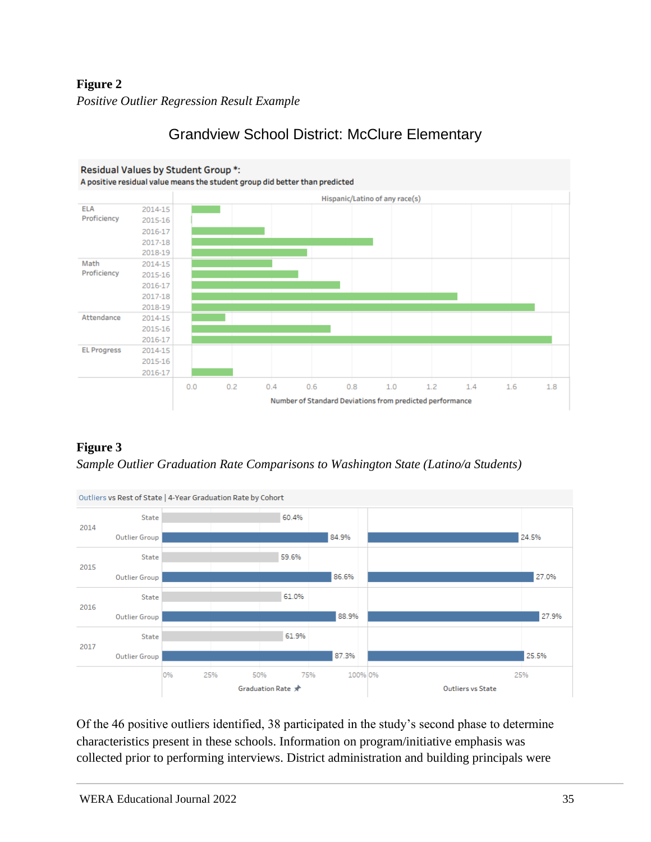# **Figure 2** *Positive Outlier Regression Result Example*



# Grandview School District: McClure Elementary





Of the 46 positive outliers identified, 38 participated in the study's second phase to determine characteristics present in these schools. Information on program/initiative emphasis was collected prior to performing interviews. District administration and building principals were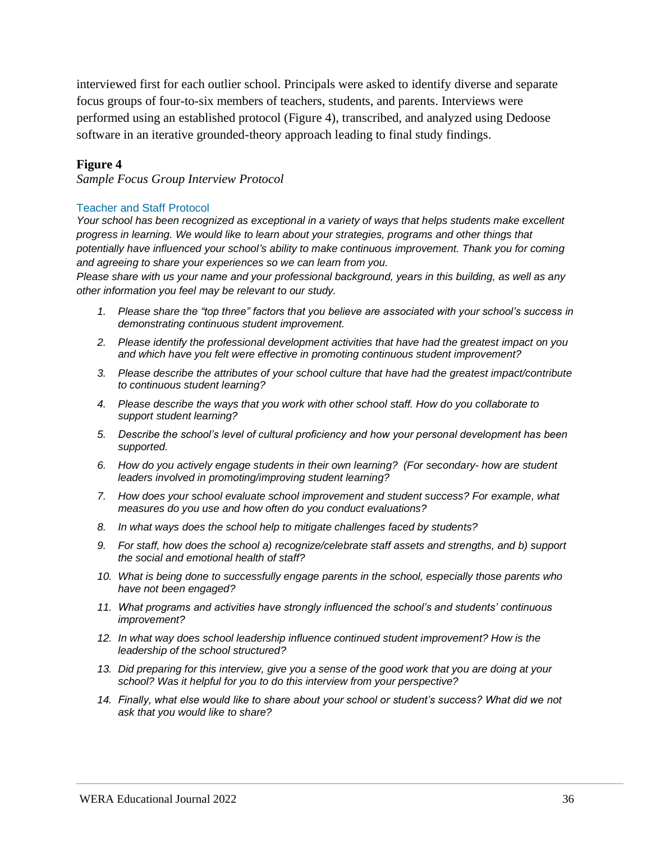interviewed first for each outlier school. Principals were asked to identify diverse and separate focus groups of four-to-six members of teachers, students, and parents. Interviews were performed using an established protocol (Figure 4), transcribed, and analyzed using Dedoose software in an iterative grounded-theory approach leading to final study findings.

#### **Figure 4**

*Sample Focus Group Interview Protocol*

#### Teacher and Staff Protocol

*Your school has been recognized as exceptional in a variety of ways that helps students make excellent progress in learning. We would like to learn about your strategies, programs and other things that potentially have influenced your school's ability to make continuous improvement. Thank you for coming and agreeing to share your experiences so we can learn from you.*

*Please share with us your name and your professional background, years in this building, as well as any other information you feel may be relevant to our study.* 

- *1. Please share the "top three" factors that you believe are associated with your school's success in demonstrating continuous student improvement.*
- *2. Please identify the professional development activities that have had the greatest impact on you and which have you felt were effective in promoting continuous student improvement?*
- *3. Please describe the attributes of your school culture that have had the greatest impact/contribute to continuous student learning?*
- *4. Please describe the ways that you work with other school staff. How do you collaborate to support student learning?*
- *5. Describe the school's level of cultural proficiency and how your personal development has been supported.*
- *6. How do you actively engage students in their own learning? (For secondary- how are student leaders involved in promoting/improving student learning?*
- *7. How does your school evaluate school improvement and student success? For example, what measures do you use and how often do you conduct evaluations?*
- *8. In what ways does the school help to mitigate challenges faced by students?*
- *9. For staff, how does the school a) recognize/celebrate staff assets and strengths, and b) support the social and emotional health of staff?*
- *10. What is being done to successfully engage parents in the school, especially those parents who have not been engaged?*
- *11. What programs and activities have strongly influenced the school's and students' continuous improvement?*
- *12. In what way does school leadership influence continued student improvement? How is the leadership of the school structured?*
- *13. Did preparing for this interview, give you a sense of the good work that you are doing at your school? Was it helpful for you to do this interview from your perspective?*
- *14. Finally, what else would like to share about your school or student's success? What did we not ask that you would like to share?*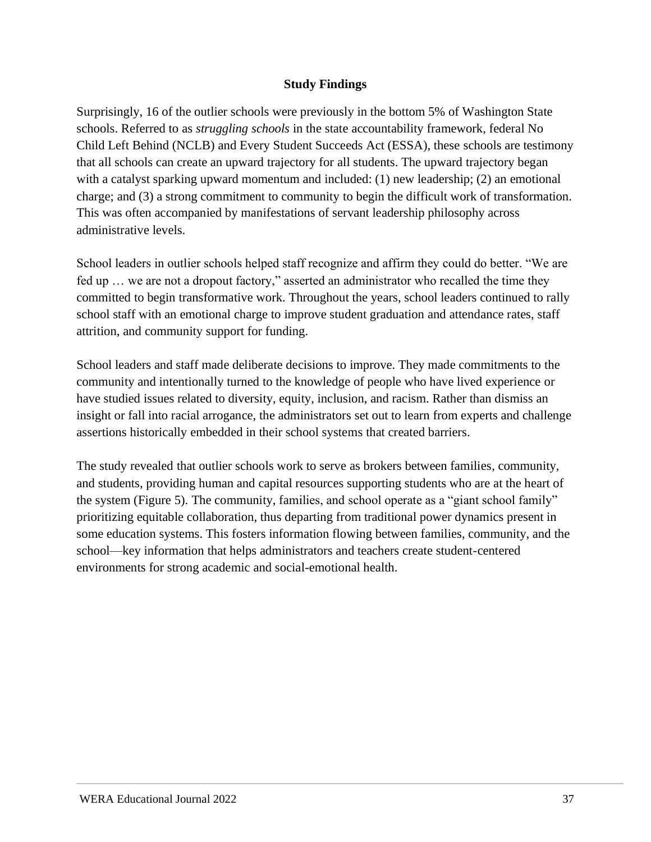# **Study Findings**

Surprisingly, 16 of the outlier schools were previously in the bottom 5% of Washington State schools. Referred to as *struggling schools* in the state accountability framework, federal No Child Left Behind (NCLB) and Every Student Succeeds Act (ESSA), these schools are testimony that all schools can create an upward trajectory for all students. The upward trajectory began with a catalyst sparking upward momentum and included: (1) new leadership; (2) an emotional charge; and (3) a strong commitment to community to begin the difficult work of transformation. This was often accompanied by manifestations of servant leadership philosophy across administrative levels.

School leaders in outlier schools helped staff recognize and affirm they could do better. "We are fed up … we are not a dropout factory," asserted an administrator who recalled the time they committed to begin transformative work. Throughout the years, school leaders continued to rally school staff with an emotional charge to improve student graduation and attendance rates, staff attrition, and community support for funding.

School leaders and staff made deliberate decisions to improve. They made commitments to the community and intentionally turned to the knowledge of people who have lived experience or have studied issues related to diversity, equity, inclusion, and racism. Rather than dismiss an insight or fall into racial arrogance, the administrators set out to learn from experts and challenge assertions historically embedded in their school systems that created barriers.

The study revealed that outlier schools work to serve as brokers between families, community, and students, providing human and capital resources supporting students who are at the heart of the system (Figure 5). The community, families, and school operate as a "giant school family" prioritizing equitable collaboration, thus departing from traditional power dynamics present in some education systems. This fosters information flowing between families, community, and the school—key information that helps administrators and teachers create student-centered environments for strong academic and social-emotional health.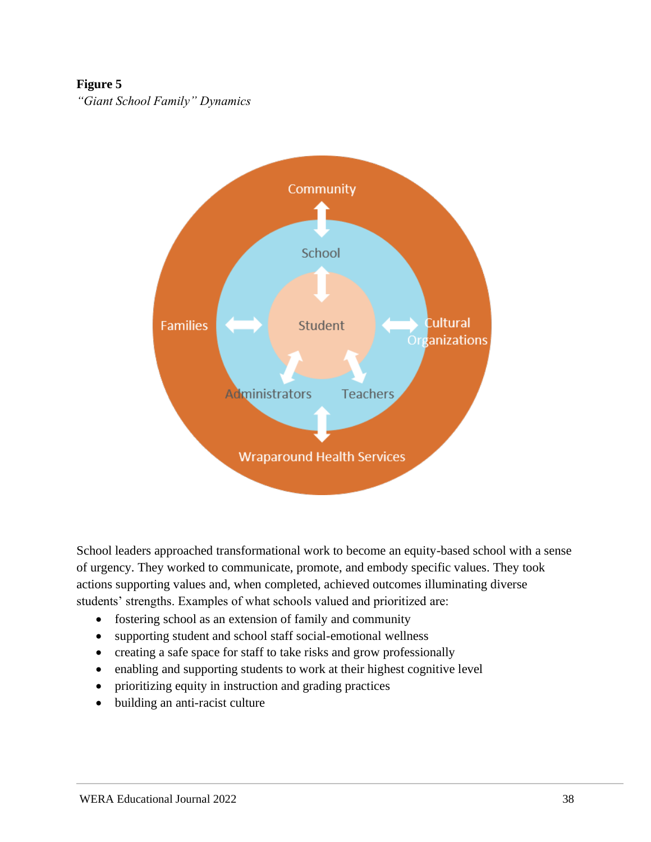# **Figure 5**

*"Giant School Family" Dynamics*



School leaders approached transformational work to become an equity-based school with a sense of urgency. They worked to communicate, promote, and embody specific values. They took actions supporting values and, when completed, achieved outcomes illuminating diverse students' strengths. Examples of what schools valued and prioritized are:

- fostering school as an extension of family and community
- supporting student and school staff social-emotional wellness
- creating a safe space for staff to take risks and grow professionally
- enabling and supporting students to work at their highest cognitive level
- prioritizing equity in instruction and grading practices
- building an anti-racist culture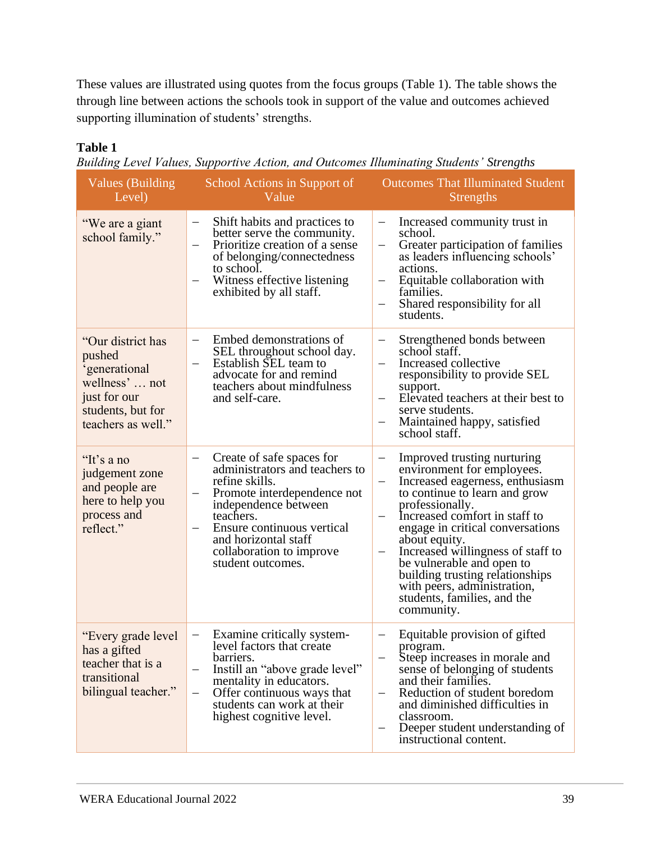These values are illustrated using quotes from the focus groups (Table 1). The table shows the through line between actions the schools took in support of the value and outcomes achieved supporting illumination of students' strengths.

# **Table 1**

|  |  | Building Level Values, Supportive Action, and Outcomes Illuminating Students' Strengths |  |  |
|--|--|-----------------------------------------------------------------------------------------|--|--|
|  |  |                                                                                         |  |  |

| Values (Building<br>Level)                                                                                                | School Actions in Support of<br>Value                                                                                                                                                                                                                                                                 | <b>Outcomes That Illuminated Student</b><br><b>Strengths</b>                                                                                                                                                                                                                                                                                                                                                                                                                                                              |
|---------------------------------------------------------------------------------------------------------------------------|-------------------------------------------------------------------------------------------------------------------------------------------------------------------------------------------------------------------------------------------------------------------------------------------------------|---------------------------------------------------------------------------------------------------------------------------------------------------------------------------------------------------------------------------------------------------------------------------------------------------------------------------------------------------------------------------------------------------------------------------------------------------------------------------------------------------------------------------|
| "We are a giant<br>school family."                                                                                        | Shift habits and practices to<br>better serve the community.<br>Prioritize creation of a sense<br>$\overline{\phantom{0}}$<br>of belonging/connectedness<br>to school.<br>Witness effective listening<br>$\qquad \qquad -$<br>exhibited by all staff.                                                 | Increased community trust in<br>school.<br>Greater participation of families<br>$\qquad \qquad -$<br>as leaders influencing schools'<br>actions.<br>Equitable collaboration with<br>$\overline{\phantom{m}}$<br>families.<br>Shared responsibility for all<br>students.                                                                                                                                                                                                                                                   |
| "Our district has<br>pushed<br>'generational<br>wellness'  not<br>just for our<br>students, but for<br>teachers as well." | Embed demonstrations of<br>$\qquad \qquad -$<br>SEL throughout school day.<br>Establish SEL team to<br>$\qquad \qquad -$<br>advocate for and remind<br>teachers about mindfulness<br>and self-care.                                                                                                   | Strengthened bonds between<br>$\qquad \qquad -$<br>school staff.<br>Increased collective<br>$\qquad \qquad -$<br>responsibility to provide SEL<br>support.<br>Elevated teachers at their best to<br>serve students.<br>Maintained happy, satisfied<br>school staff.                                                                                                                                                                                                                                                       |
| "It's a no<br>judgement zone<br>and people are<br>here to help you<br>process and<br>reflect."                            | Create of safe spaces for<br>administrators and teachers to<br>refine skills.<br>Promote interdependence not<br>$\qquad \qquad -$<br>independence between<br>teachers.<br>Ensure continuous vertical<br>and horizontal staff<br>collaboration to improve<br>student outcomes.                         | Improved trusting nurturing<br>$\overline{\phantom{0}}$<br>environment for employees.<br>Increased eagerness, enthusiasm<br>$\qquad \qquad -$<br>to continue to learn and grow<br>professionally.<br>Increased comfort in staff to<br>$\qquad \qquad -$<br>engage in critical conversations<br>about equity.<br>Increased willingness of staff to<br>$\overline{\phantom{m}}$<br>be vulnerable and open to<br>building trusting relationships<br>with peers, administration,<br>students, families, and the<br>community. |
| "Every grade level<br>has a gifted<br>teacher that is a<br>transitional<br>bilingual teacher."                            | Examine critically system-<br>$\qquad \qquad \longleftarrow$<br>level factors that create<br>barriers.<br>Instill an "above grade level"<br>$\qquad \qquad -$<br>mentality in educators.<br>Offer continuous ways that<br>$\qquad \qquad -$<br>students can work at their<br>highest cognitive level. | Equitable provision of gifted<br>$\qquad \qquad -$<br>program.<br>Steep increases in morale and<br>sense of belonging of students<br>and their families.<br>Reduction of student boredom<br>$\qquad \qquad -$<br>and diminished difficulties in<br>classroom.<br>Deeper student understanding of<br>instructional content.                                                                                                                                                                                                |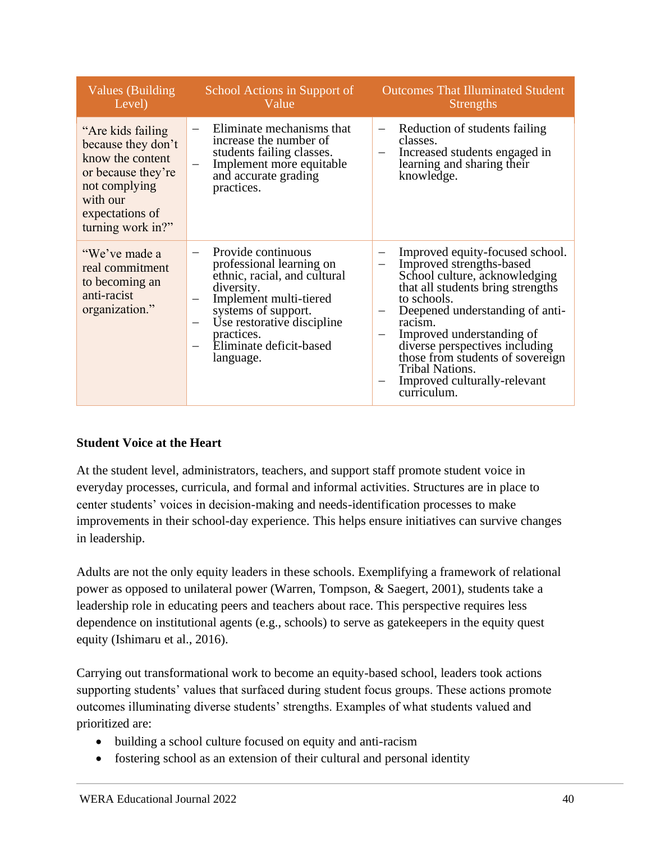| Values (Building)<br>Level)                                                                                                                             | School Actions in Support of<br>Value                                                                                                                                                                                                                                                                                  | <b>Outcomes That Illuminated Student</b><br><b>Strengths</b>                                                                                                                                                                                                                                                                                                                                                                |
|---------------------------------------------------------------------------------------------------------------------------------------------------------|------------------------------------------------------------------------------------------------------------------------------------------------------------------------------------------------------------------------------------------------------------------------------------------------------------------------|-----------------------------------------------------------------------------------------------------------------------------------------------------------------------------------------------------------------------------------------------------------------------------------------------------------------------------------------------------------------------------------------------------------------------------|
| "Are kids failing"<br>because they don't<br>know the content<br>or because they're<br>not complying<br>with our<br>expectations of<br>turning work in?" | Eliminate mechanisms that<br>increase the number of<br>students failing classes.<br>Implement more equitable<br>$\overline{\phantom{m}}$<br>and accurate grading<br>practices.                                                                                                                                         | Reduction of students failing<br>$\overline{\phantom{0}}$<br>classes.<br>Increased students engaged in<br>$\qquad \qquad -$<br>learning and sharing their<br>knowledge.                                                                                                                                                                                                                                                     |
| "We've made a<br>real commitment<br>to becoming an<br>anti-racist<br>organization."                                                                     | Provide continuous<br>$\overline{\phantom{0}}$<br>professional learning on<br>ethnic, racial, and cultural<br>diversity.<br>Implement multi-tiered<br>$\qquad \qquad -$<br>systems of support.<br>Use restorative discipline<br>$\overbrace{\phantom{12322111}}$<br>practices.<br>Eliminate deficit-based<br>language. | Improved equity-focused school.<br>$\overline{\phantom{m}}$<br>Improved strengths-based<br>School culture, acknowledging<br>that all students bring strengths<br>to schools.<br>Deepened understanding of anti-<br>$\qquad \qquad -$<br>racism.<br>Improved understanding of<br>diverse perspectives including<br>those from students of sovereign<br><b>Tribal Nations.</b><br>Improved culturally-relevant<br>curriculum. |

# **Student Voice at the Heart**

At the student level, administrators, teachers, and support staff promote student voice in everyday processes, curricula, and formal and informal activities. Structures are in place to center students' voices in decision-making and needs-identification processes to make improvements in their school-day experience. This helps ensure initiatives can survive changes in leadership.

Adults are not the only equity leaders in these schools. Exemplifying a framework of relational power as opposed to unilateral power (Warren, Tompson, & Saegert, 2001), students take a leadership role in educating peers and teachers about race. This perspective requires less dependence on institutional agents (e.g., schools) to serve as gatekeepers in the equity quest equity (Ishimaru et al., 2016).

Carrying out transformational work to become an equity-based school, leaders took actions supporting students' values that surfaced during student focus groups. These actions promote outcomes illuminating diverse students' strengths. Examples of what students valued and prioritized are:

- building a school culture focused on equity and anti-racism
- fostering school as an extension of their cultural and personal identity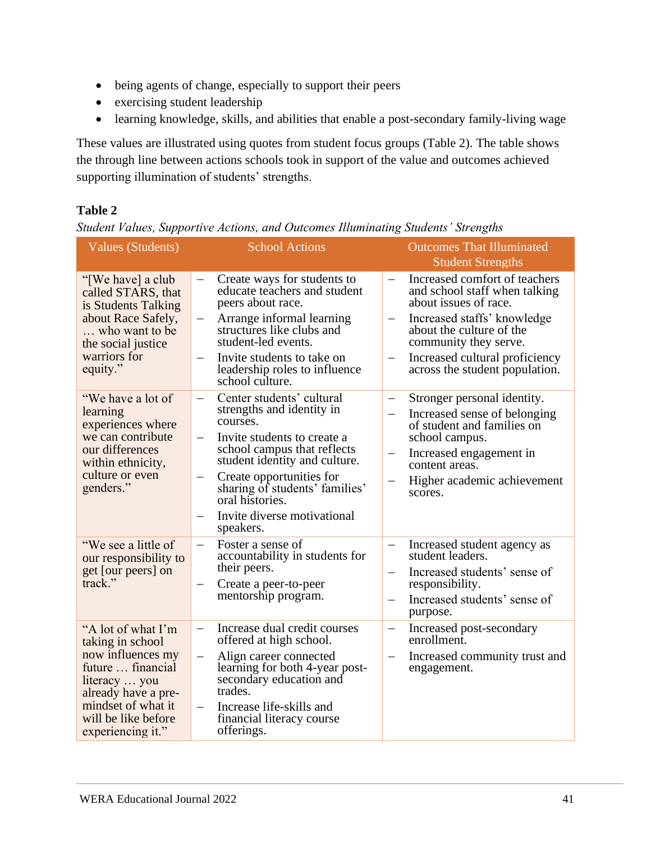- being agents of change, especially to support their peers
- exercising student leadership
- learning knowledge, skills, and abilities that enable a post-secondary family-living wage

These values are illustrated using quotes from student focus groups (Table 2). The table shows the through line between actions schools took in support of the value and outcomes achieved supporting illumination of students' strengths.

# **Table 2**

*Student Values, Supportive Actions, and Outcomes Illuminating Students' Strengths*

| <b>Values (Students)</b>                                                                                                                                                                   | <b>School Actions</b>                                                                                                                                                                                                                                                                                       | <b>Outcomes That Illuminated</b><br><b>Student Strengths</b>                                                                                                                                                                                                                                                                 |
|--------------------------------------------------------------------------------------------------------------------------------------------------------------------------------------------|-------------------------------------------------------------------------------------------------------------------------------------------------------------------------------------------------------------------------------------------------------------------------------------------------------------|------------------------------------------------------------------------------------------------------------------------------------------------------------------------------------------------------------------------------------------------------------------------------------------------------------------------------|
| "[We have] a club<br>called STARS, that<br>is Students Talking<br>about Race Safely,<br>who want to be<br>the social justice<br>warriors for<br>equity."                                   | Create ways for students to<br>$\overline{\phantom{0}}$<br>educate teachers and student<br>peers about race.<br>Arrange informal learning<br>$\overline{\phantom{0}}$<br>structures like clubs and<br>student-led events.<br>Invite students to take on<br>leadership roles to influence<br>school culture. | Increased comfort of teachers<br>$\qquad \qquad -$<br>and school staff when talking<br>about issues of race.<br>Increased staffs' knowledge<br>$\overline{\phantom{0}}$<br>about the culture of the<br>community they serve.<br>Increased cultural proficiency<br>$\overline{\phantom{0}}$<br>across the student population. |
| "We have a lot of<br>learning<br>experiences where<br>we can contribute<br>our differences<br>within ethnicity,<br>culture or even<br>genders."                                            | Center students' cultural<br>strengths and identity in<br>courses.<br>Invite students to create a<br>school campus that reflects<br>student identity and culture.<br>Create opportunities for<br>sharing of students' families'<br>oral histories.<br>Invite diverse motivational<br>speakers.              | Stronger personal identity.<br>—<br>Increased sense of belonging<br>$\qquad \qquad -$<br>of student and families on<br>school campus.<br>Increased engagement in<br>$\overline{\phantom{0}}$<br>content areas.<br>Higher academic achievement<br>$\overline{\phantom{0}}$<br>scores.                                         |
| "We see a little of<br>our responsibility to<br>get [our peers] on<br>track."                                                                                                              | Foster a sense of<br>$\equiv$<br>accountability in students for<br>their peers.<br>Create a peer-to-peer<br>$\qquad \qquad -$<br>mentorship program.                                                                                                                                                        | Increased student agency as<br>$\equiv$<br>student leaders.<br>Increased students' sense of<br>$\equiv$<br>responsibility.<br>Increased students' sense of<br>purpose.                                                                                                                                                       |
| "A lot of what I'm<br>taking in school<br>now influences my<br>future  financial<br>literacy  you<br>already have a pre-<br>mindset of what it<br>will be like before<br>experiencing it." | Increase dual credit courses<br>$\overline{\phantom{0}}$<br>offered at high school.<br>Align career connected<br>$\overline{\phantom{0}}$<br>learning for both 4-year post-<br>secondary education and<br>trades.<br>Increase life-skills and<br>financial literacy course<br>offerings.                    | Increased post-secondary<br>$\qquad \qquad -$<br>enrollment.<br>Increased community trust and<br>$\overline{\phantom{0}}$<br>engagement.                                                                                                                                                                                     |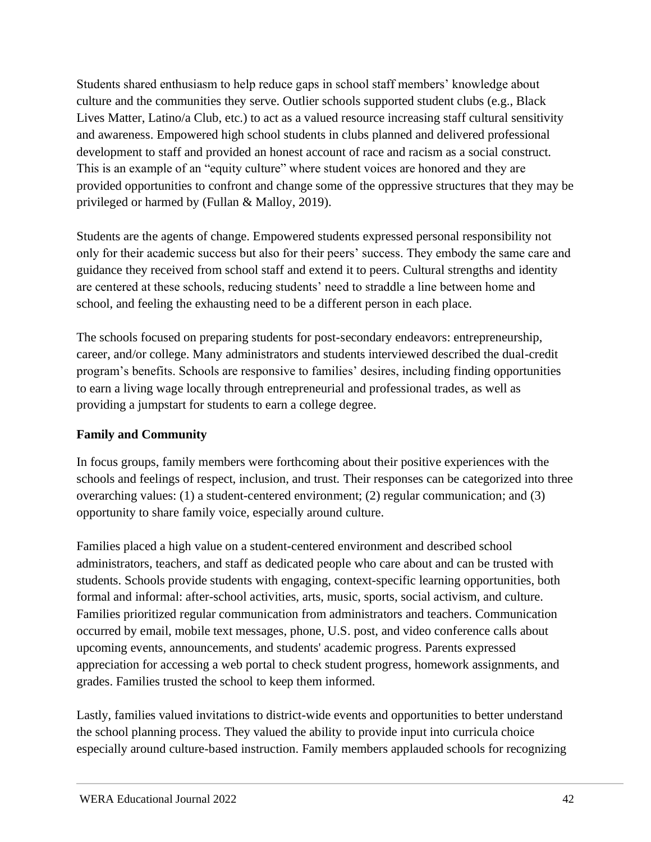Students shared enthusiasm to help reduce gaps in school staff members' knowledge about culture and the communities they serve. Outlier schools supported student clubs (e.g., Black Lives Matter, Latino/a Club, etc.) to act as a valued resource increasing staff cultural sensitivity and awareness. Empowered high school students in clubs planned and delivered professional development to staff and provided an honest account of race and racism as a social construct. This is an example of an "equity culture" where student voices are honored and they are provided opportunities to confront and change some of the oppressive structures that they may be privileged or harmed by (Fullan & Malloy, 2019).

Students are the agents of change. Empowered students expressed personal responsibility not only for their academic success but also for their peers' success. They embody the same care and guidance they received from school staff and extend it to peers. Cultural strengths and identity are centered at these schools, reducing students' need to straddle a line between home and school, and feeling the exhausting need to be a different person in each place.

The schools focused on preparing students for post-secondary endeavors: entrepreneurship, career, and/or college. Many administrators and students interviewed described the dual-credit program's benefits. Schools are responsive to families' desires, including finding opportunities to earn a living wage locally through entrepreneurial and professional trades, as well as providing a jumpstart for students to earn a college degree.

# **Family and Community**

In focus groups, family members were forthcoming about their positive experiences with the schools and feelings of respect, inclusion, and trust. Their responses can be categorized into three overarching values: (1) a student-centered environment; (2) regular communication; and (3) opportunity to share family voice, especially around culture.

Families placed a high value on a student-centered environment and described school administrators, teachers, and staff as dedicated people who care about and can be trusted with students. Schools provide students with engaging, context-specific learning opportunities, both formal and informal: after-school activities, arts, music, sports, social activism, and culture. Families prioritized regular communication from administrators and teachers. Communication occurred by email, mobile text messages, phone, U.S. post, and video conference calls about upcoming events, announcements, and students' academic progress. Parents expressed appreciation for accessing a web portal to check student progress, homework assignments, and grades. Families trusted the school to keep them informed.

Lastly, families valued invitations to district-wide events and opportunities to better understand the school planning process. They valued the ability to provide input into curricula choice especially around culture-based instruction. Family members applauded schools for recognizing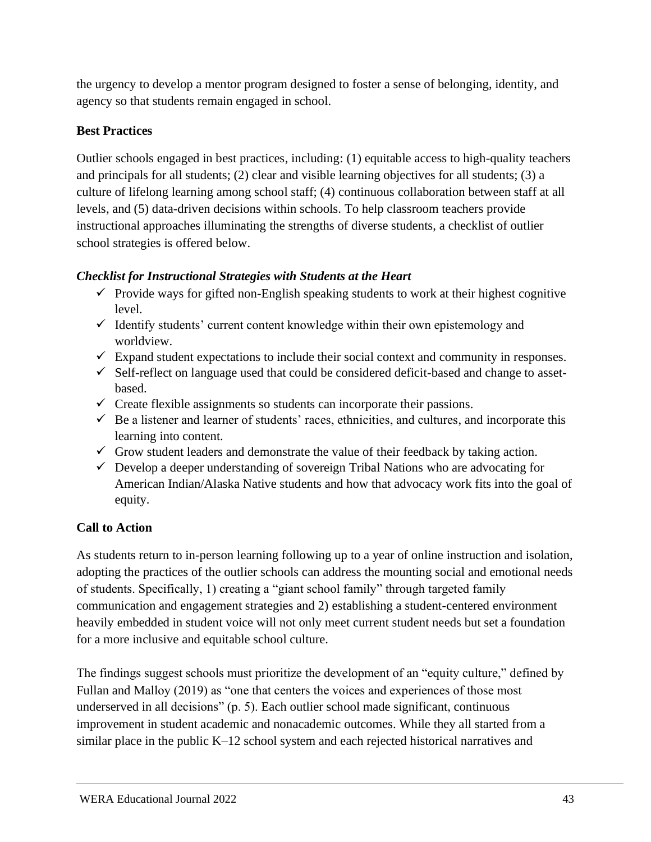the urgency to develop a mentor program designed to foster a sense of belonging, identity, and agency so that students remain engaged in school.

# **Best Practices**

Outlier schools engaged in best practices, including: (1) equitable access to high-quality teachers and principals for all students; (2) clear and visible learning objectives for all students; (3) a culture of lifelong learning among school staff; (4) continuous collaboration between staff at all levels, and (5) data-driven decisions within schools. To help classroom teachers provide instructional approaches illuminating the strengths of diverse students, a checklist of outlier school strategies is offered below.

# *Checklist for Instructional Strategies with Students at the Heart*

- $\checkmark$  Provide ways for gifted non-English speaking students to work at their highest cognitive level.
- $\checkmark$  Identify students' current content knowledge within their own epistemology and worldview.
- $\checkmark$  Expand student expectations to include their social context and community in responses.
- $\checkmark$  Self-reflect on language used that could be considered deficit-based and change to assetbased.
- $\checkmark$  Create flexible assignments so students can incorporate their passions.
- $\checkmark$  Be a listener and learner of students' races, ethnicities, and cultures, and incorporate this learning into content.
- $\checkmark$  Grow student leaders and demonstrate the value of their feedback by taking action.
- $\checkmark$  Develop a deeper understanding of sovereign Tribal Nations who are advocating for American Indian/Alaska Native students and how that advocacy work fits into the goal of equity.

# **Call to Action**

As students return to in-person learning following up to a year of online instruction and isolation, adopting the practices of the outlier schools can address the mounting social and emotional needs of students. Specifically, 1) creating a "giant school family" through targeted family communication and engagement strategies and 2) establishing a student-centered environment heavily embedded in student voice will not only meet current student needs but set a foundation for a more inclusive and equitable school culture.

The findings suggest schools must prioritize the development of an "equity culture," defined by Fullan and Malloy (2019) as "one that centers the voices and experiences of those most underserved in all decisions" (p. 5). Each outlier school made significant, continuous improvement in student academic and nonacademic outcomes. While they all started from a similar place in the public K–12 school system and each rejected historical narratives and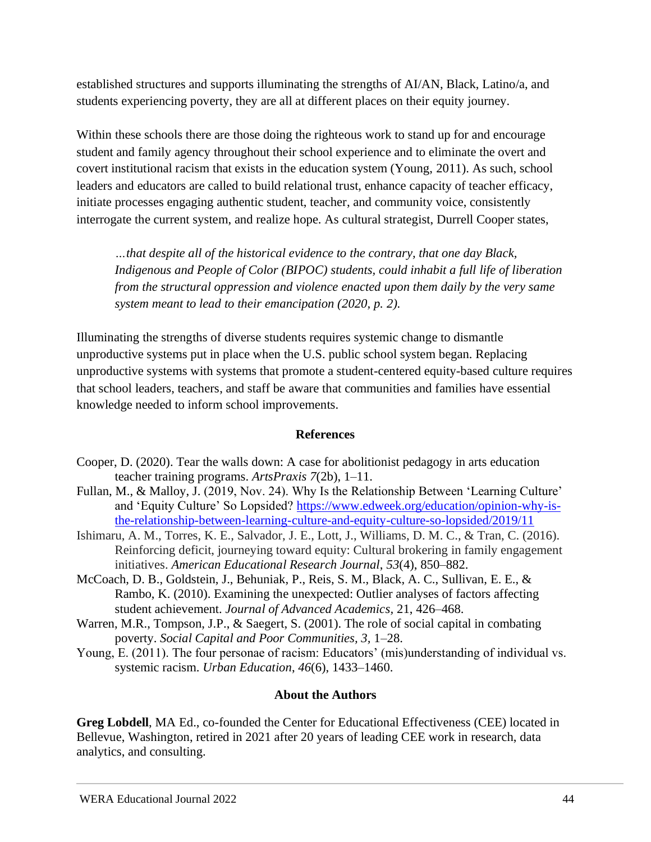established structures and supports illuminating the strengths of AI/AN, Black, Latino/a, and students experiencing poverty, they are all at different places on their equity journey.

Within these schools there are those doing the righteous work to stand up for and encourage student and family agency throughout their school experience and to eliminate the overt and covert institutional racism that exists in the education system (Young, 2011). As such, school leaders and educators are called to build relational trust, enhance capacity of teacher efficacy, initiate processes engaging authentic student, teacher, and community voice, consistently interrogate the current system, and realize hope. As cultural strategist, Durrell Cooper states,

*…that despite all of the historical evidence to the contrary, that one day Black, Indigenous and People of Color (BIPOC) students, could inhabit a full life of liberation from the structural oppression and violence enacted upon them daily by the very same system meant to lead to their emancipation (2020, p. 2).*

Illuminating the strengths of diverse students requires systemic change to dismantle unproductive systems put in place when the U.S. public school system began. Replacing unproductive systems with systems that promote a student-centered equity-based culture requires that school leaders, teachers, and staff be aware that communities and families have essential knowledge needed to inform school improvements.

# **References**

- Cooper, D. (2020). Tear the walls down: A case for abolitionist pedagogy in arts education teacher training programs. *ArtsPraxis 7*(2b), 1–11.
- Fullan, M., & Malloy, J. (2019, Nov. 24). Why Is the Relationship Between 'Learning Culture' and 'Equity Culture' So Lopsided? [https://www.edweek.org/education/opinion-why-is](https://www.edweek.org/education/opinion-why-is-the-relationship-between-learning-culture-and-equity-culture-so-lopsided/2019/11)[the-relationship-between-learning-culture-and-equity-culture-so-lopsided/2019/11](https://www.edweek.org/education/opinion-why-is-the-relationship-between-learning-culture-and-equity-culture-so-lopsided/2019/11)
- Ishimaru, A. M., Torres, K. E., Salvador, J. E., Lott, J., Williams, D. M. C., & Tran, C. (2016). Reinforcing deficit, journeying toward equity: Cultural brokering in family engagement initiatives. *American Educational Research Journal*, *53*(4), 850–882.
- McCoach, D. B., Goldstein, J., Behuniak, P., Reis, S. M., Black, A. C., Sullivan, E. E., & Rambo, K. (2010). Examining the unexpected: Outlier analyses of factors affecting student achievement. *Journal of Advanced Academics,* 21, 426–468.
- Warren, M.R., Tompson, J.P., & Saegert, S. (2001). The role of social capital in combating poverty. *Social Capital and Poor Communities, 3,* 1–28.
- Young, E. (2011). The four personae of racism: Educators' (mis)understanding of individual vs. systemic racism. *Urban Education*, *46*(6), 1433–1460.

# **About the Authors**

**Greg Lobdell**, MA Ed., co-founded the Center for Educational Effectiveness (CEE) located in Bellevue, Washington, retired in 2021 after 20 years of leading CEE work in research, data analytics, and consulting.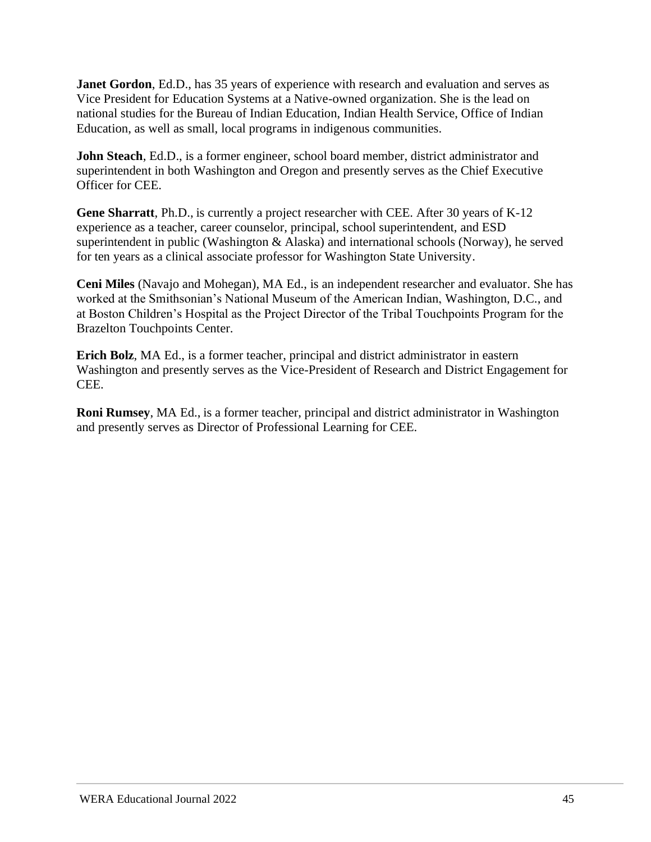**Janet Gordon**, Ed.D., has 35 years of experience with research and evaluation and serves as Vice President for Education Systems at a Native-owned organization. She is the lead on national studies for the Bureau of Indian Education, Indian Health Service, Office of Indian Education, as well as small, local programs in indigenous communities.

**John Steach**, Ed.D., is a former engineer, school board member, district administrator and superintendent in both Washington and Oregon and presently serves as the Chief Executive Officer for CEE.

**Gene Sharratt**, Ph.D., is currently a project researcher with CEE. After 30 years of K-12 experience as a teacher, career counselor, principal, school superintendent, and ESD superintendent in public (Washington & Alaska) and international schools (Norway), he served for ten years as a clinical associate professor for Washington State University.

**Ceni Miles** (Navajo and Mohegan), MA Ed., is an independent researcher and evaluator. She has worked at the Smithsonian's National Museum of the American Indian, Washington, D.C., and at Boston Children's Hospital as the Project Director of the Tribal Touchpoints Program for the Brazelton Touchpoints Center.

**Erich Bolz**, MA Ed., is a former teacher, principal and district administrator in eastern Washington and presently serves as the Vice-President of Research and District Engagement for CEE.

<span id="page-44-0"></span>**Roni Rumsey**, MA Ed., is a former teacher, principal and district administrator in Washington and presently serves as Director of Professional Learning for CEE.